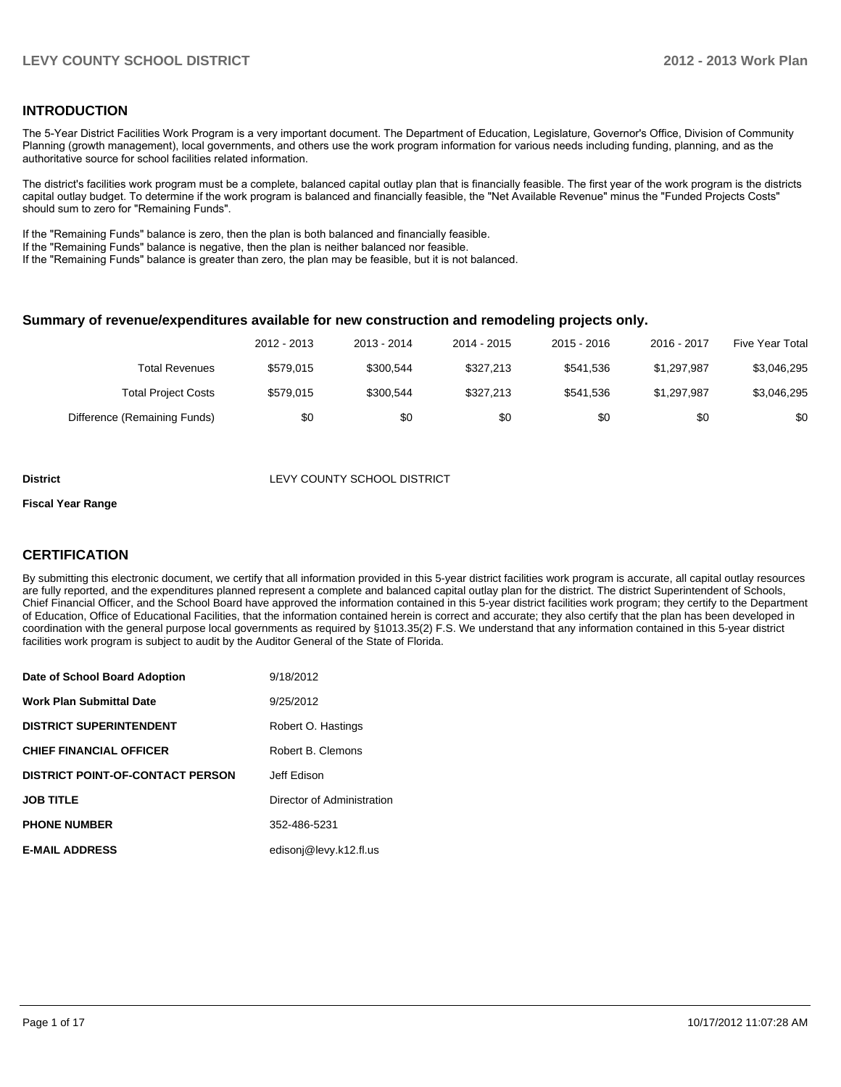#### **INTRODUCTION**

The 5-Year District Facilities Work Program is a very important document. The Department of Education, Legislature, Governor's Office, Division of Community Planning (growth management), local governments, and others use the work program information for various needs including funding, planning, and as the authoritative source for school facilities related information.

The district's facilities work program must be a complete, balanced capital outlay plan that is financially feasible. The first year of the work program is the districts capital outlay budget. To determine if the work program is balanced and financially feasible, the "Net Available Revenue" minus the "Funded Projects Costs" should sum to zero for "Remaining Funds".

If the "Remaining Funds" balance is zero, then the plan is both balanced and financially feasible.

If the "Remaining Funds" balance is negative, then the plan is neither balanced nor feasible.

If the "Remaining Funds" balance is greater than zero, the plan may be feasible, but it is not balanced.

#### **Summary of revenue/expenditures available for new construction and remodeling projects only.**

|                              | 2012 - 2013 | 2013 - 2014 | 2014 - 2015 | 2015 - 2016 | 2016 - 2017 | Five Year Total |
|------------------------------|-------------|-------------|-------------|-------------|-------------|-----------------|
| Total Revenues               | \$579.015   | \$300.544   | \$327,213   | \$541.536   | \$1.297.987 | \$3,046,295     |
| <b>Total Project Costs</b>   | \$579.015   | \$300.544   | \$327,213   | \$541.536   | \$1.297.987 | \$3,046,295     |
| Difference (Remaining Funds) | \$0         | \$0         | \$0         | \$0         | \$0         | \$0             |

#### **District District LEVY COUNTY SCHOOL DISTRICT**

#### **Fiscal Year Range**

### **CERTIFICATION**

By submitting this electronic document, we certify that all information provided in this 5-year district facilities work program is accurate, all capital outlay resources are fully reported, and the expenditures planned represent a complete and balanced capital outlay plan for the district. The district Superintendent of Schools, Chief Financial Officer, and the School Board have approved the information contained in this 5-year district facilities work program; they certify to the Department of Education, Office of Educational Facilities, that the information contained herein is correct and accurate; they also certify that the plan has been developed in coordination with the general purpose local governments as required by §1013.35(2) F.S. We understand that any information contained in this 5-year district facilities work program is subject to audit by the Auditor General of the State of Florida.

| Date of School Board Adoption           | 9/18/2012                  |
|-----------------------------------------|----------------------------|
| <b>Work Plan Submittal Date</b>         | 9/25/2012                  |
| <b>DISTRICT SUPERINTENDENT</b>          | Robert O. Hastings         |
| <b>CHIEF FINANCIAL OFFICER</b>          | Robert B. Clemons          |
| <b>DISTRICT POINT-OF-CONTACT PERSON</b> | Jeff Edison                |
| <b>JOB TITLE</b>                        | Director of Administration |
| <b>PHONE NUMBER</b>                     | 352-486-5231               |
| <b>E-MAIL ADDRESS</b>                   | edisonj@levy.k12.fl.us     |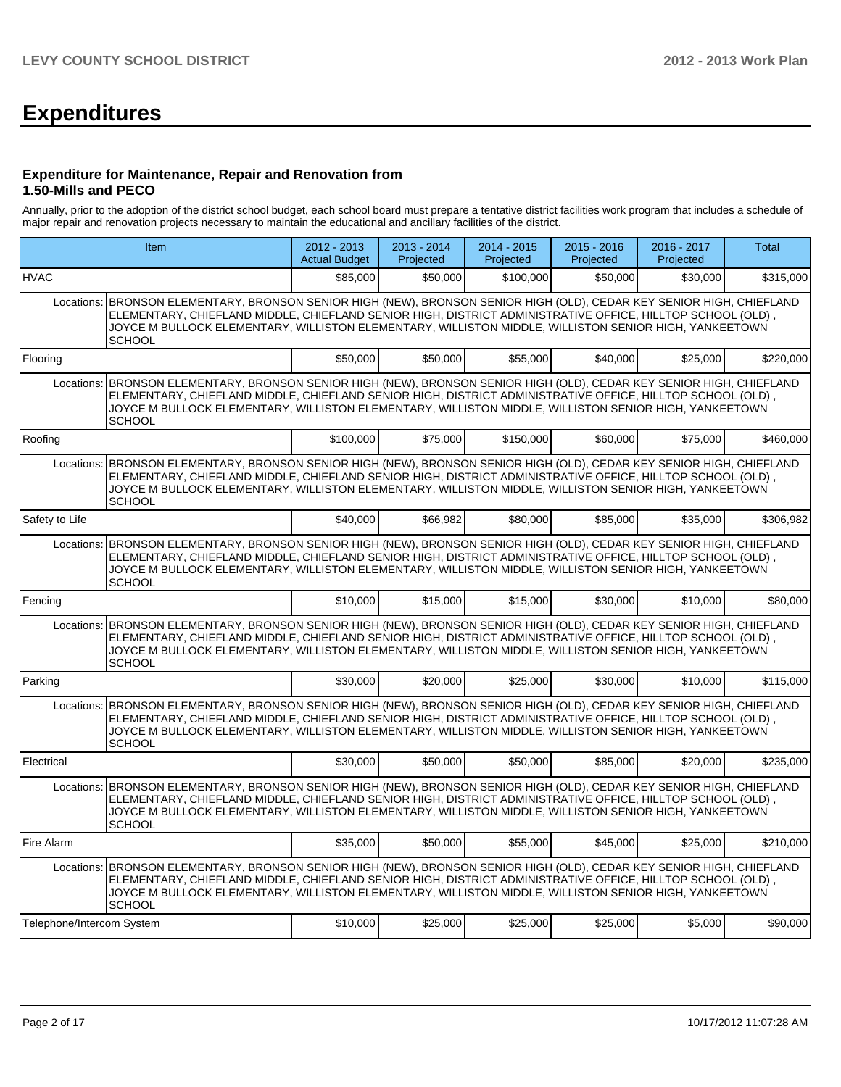# **Expenditures**

#### **Expenditure for Maintenance, Repair and Renovation from 1.50-Mills and PECO**

Annually, prior to the adoption of the district school budget, each school board must prepare a tentative district facilities work program that includes a schedule of major repair and renovation projects necessary to maintain the educational and ancillary facilities of the district.

|                           | Item                                                                                                                                                                                                                                                                                                                                                          |           | 2013 - 2014<br>Projected | $2014 - 2015$<br>Projected | $2015 - 2016$<br>Projected | 2016 - 2017<br>Projected | Total     |
|---------------------------|---------------------------------------------------------------------------------------------------------------------------------------------------------------------------------------------------------------------------------------------------------------------------------------------------------------------------------------------------------------|-----------|--------------------------|----------------------------|----------------------------|--------------------------|-----------|
| <b>HVAC</b>               |                                                                                                                                                                                                                                                                                                                                                               | \$85,000  | \$50,000                 | \$100,000                  | \$50,000                   | \$30,000                 | \$315,000 |
| Locations:                | BRONSON ELEMENTARY, BRONSON SENIOR HIGH (NEW), BRONSON SENIOR HIGH (OLD), CEDAR KEY SENIOR HIGH, CHIEFLAND<br>ELEMENTARY, CHIEFLAND MIDDLE, CHIEFLAND SENIOR HIGH, DISTRICT ADMINISTRATIVE OFFICE, HILLTOP SCHOOL (OLD),<br>JOYCE M BULLOCK ELEMENTARY, WILLISTON ELEMENTARY, WILLISTON MIDDLE, WILLISTON SENIOR HIGH, YANKEETOWN<br><b>SCHOOL</b>            |           |                          |                            |                            |                          |           |
| Flooring                  |                                                                                                                                                                                                                                                                                                                                                               | \$50,000  | \$50,000                 | \$55.000                   | \$40.000                   | \$25.000                 | \$220.000 |
| Locations:                | BRONSON ELEMENTARY, BRONSON SENIOR HIGH (NEW), BRONSON SENIOR HIGH (OLD), CEDAR KEY SENIOR HIGH, CHIEFLAND<br>ELEMENTARY, CHIEFLAND MIDDLE, CHIEFLAND SENIOR HIGH, DISTRICT ADMINISTRATIVE OFFICE, HILLTOP SCHOOL (OLD),<br>JOYCE M BULLOCK ELEMENTARY, WILLISTON ELEMENTARY, WILLISTON MIDDLE, WILLISTON SENIOR HIGH, YANKEETOWN<br><b>SCHOOL</b>            |           |                          |                            |                            |                          |           |
| Roofing                   |                                                                                                                                                                                                                                                                                                                                                               | \$100,000 | \$75,000                 | \$150.000                  | \$60,000                   | \$75.000                 | \$460,000 |
|                           | Locations: BRONSON ELEMENTARY, BRONSON SENIOR HIGH (NEW), BRONSON SENIOR HIGH (OLD), CEDAR KEY SENIOR HIGH, CHIEFLAND<br>ELEMENTARY, CHIEFLAND MIDDLE, CHIEFLAND SENIOR HIGH, DISTRICT ADMINISTRATIVE OFFICE, HILLTOP SCHOOL (OLD),<br>JOYCE M BULLOCK ELEMENTARY, WILLISTON ELEMENTARY, WILLISTON MIDDLE, WILLISTON SENIOR HIGH, YANKEETOWN<br><b>SCHOOL</b> |           |                          |                            |                            |                          |           |
| Safety to Life            |                                                                                                                                                                                                                                                                                                                                                               | \$40,000  | \$66,982                 | \$80,000                   | \$85,000                   | \$35,000                 | \$306,982 |
|                           | Locations: BRONSON ELEMENTARY, BRONSON SENIOR HIGH (NEW), BRONSON SENIOR HIGH (OLD), CEDAR KEY SENIOR HIGH, CHIEFLAND<br>ELEMENTARY, CHIEFLAND MIDDLE, CHIEFLAND SENIOR HIGH, DISTRICT ADMINISTRATIVE OFFICE, HILLTOP SCHOOL (OLD),<br>JOYCE M BULLOCK ELEMENTARY, WILLISTON ELEMENTARY, WILLISTON MIDDLE, WILLISTON SENIOR HIGH, YANKEETOWN<br><b>SCHOOL</b> |           |                          |                            |                            |                          |           |
| Fencing                   |                                                                                                                                                                                                                                                                                                                                                               | \$10,000  | \$15,000                 | \$15,000                   | \$30,000                   | \$10,000                 | \$80,000  |
|                           | Locations: BRONSON ELEMENTARY, BRONSON SENIOR HIGH (NEW), BRONSON SENIOR HIGH (OLD), CEDAR KEY SENIOR HIGH, CHIEFLAND<br>ELEMENTARY, CHIEFLAND MIDDLE, CHIEFLAND SENIOR HIGH, DISTRICT ADMINISTRATIVE OFFICE, HILLTOP SCHOOL (OLD),<br>JOYCE M BULLOCK ELEMENTARY, WILLISTON ELEMENTARY, WILLISTON MIDDLE, WILLISTON SENIOR HIGH, YANKEETOWN<br><b>SCHOOL</b> |           |                          |                            |                            |                          |           |
| Parking                   |                                                                                                                                                                                                                                                                                                                                                               | \$30,000  | \$20,000                 | \$25,000                   | \$30,000                   | \$10,000                 | \$115,000 |
|                           | Locations: BRONSON ELEMENTARY, BRONSON SENIOR HIGH (NEW), BRONSON SENIOR HIGH (OLD), CEDAR KEY SENIOR HIGH, CHIEFLAND<br>ELEMENTARY, CHIEFLAND MIDDLE, CHIEFLAND SENIOR HIGH, DISTRICT ADMINISTRATIVE OFFICE, HILLTOP SCHOOL (OLD),<br>JOYCE M BULLOCK ELEMENTARY, WILLISTON ELEMENTARY, WILLISTON MIDDLE, WILLISTON SENIOR HIGH, YANKEETOWN<br><b>SCHOOL</b> |           |                          |                            |                            |                          |           |
| Electrical                |                                                                                                                                                                                                                                                                                                                                                               | \$30,000  | \$50,000                 | \$50,000                   | \$85,000                   | \$20,000                 | \$235.000 |
| Locations:                | BRONSON ELEMENTARY, BRONSON SENIOR HIGH (NEW), BRONSON SENIOR HIGH (OLD), CEDAR KEY SENIOR HIGH, CHIEFLAND<br>ELEMENTARY, CHIEFLAND MIDDLE, CHIEFLAND SENIOR HIGH, DISTRICT ADMINISTRATIVE OFFICE, HILLTOP SCHOOL (OLD),<br>JOYCE M BULLOCK ELEMENTARY, WILLISTON ELEMENTARY, WILLISTON MIDDLE, WILLISTON SENIOR HIGH, YANKEETOWN<br><b>SCHOOL</b>            |           |                          |                            |                            |                          |           |
| Fire Alarm                |                                                                                                                                                                                                                                                                                                                                                               | \$35,000  | \$50,000                 | \$55,000                   | \$45,000                   | \$25,000                 | \$210,000 |
|                           | Locations: BRONSON ELEMENTARY, BRONSON SENIOR HIGH (NEW), BRONSON SENIOR HIGH (OLD), CEDAR KEY SENIOR HIGH, CHIEFLAND<br>ELEMENTARY, CHIEFLAND MIDDLE, CHIEFLAND SENIOR HIGH, DISTRICT ADMINISTRATIVE OFFICE, HILLTOP SCHOOL (OLD),<br>JOYCE M BULLOCK ELEMENTARY, WILLISTON ELEMENTARY, WILLISTON MIDDLE, WILLISTON SENIOR HIGH, YANKEETOWN<br><b>SCHOOL</b> |           |                          |                            |                            |                          |           |
| Telephone/Intercom System |                                                                                                                                                                                                                                                                                                                                                               | \$10,000  | \$25,000                 | \$25,000                   | \$25,000                   | \$5,000                  | \$90,000  |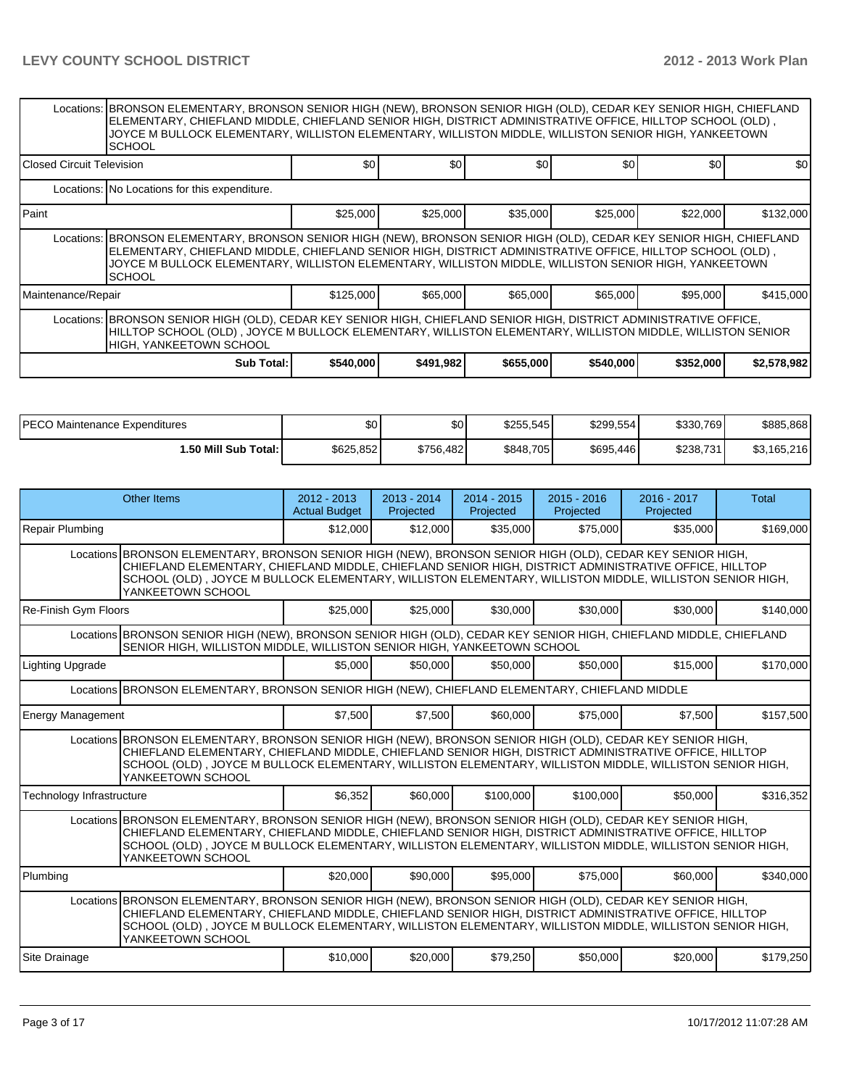|                                   | Locations: BRONSON ELEMENTARY, BRONSON SENIOR HIGH (NEW), BRONSON SENIOR HIGH (OLD), CEDAR KEY SENIOR HIGH, CHIEFLAND<br>ELEMENTARY, CHIEFLAND MIDDLE, CHIEFLAND SENIOR HIGH, DISTRICT ADMINISTRATIVE OFFICE, HILLTOP SCHOOL (OLD),<br>JOYCE M BULLOCK ELEMENTARY, WILLISTON ELEMENTARY, WILLISTON MIDDLE, WILLISTON SENIOR HIGH, YANKEETOWN<br><b>SCHOOL</b>  |                  |           |           |           |           |             |  |  |  |  |
|-----------------------------------|----------------------------------------------------------------------------------------------------------------------------------------------------------------------------------------------------------------------------------------------------------------------------------------------------------------------------------------------------------------|------------------|-----------|-----------|-----------|-----------|-------------|--|--|--|--|
| <b>IClosed Circuit Television</b> |                                                                                                                                                                                                                                                                                                                                                                | \$0 <sub>1</sub> | \$0       | \$0       | \$0       | \$0       | <b>SO</b>   |  |  |  |  |
|                                   | Locations: No Locations for this expenditure.                                                                                                                                                                                                                                                                                                                  |                  |           |           |           |           |             |  |  |  |  |
| l Paint                           |                                                                                                                                                                                                                                                                                                                                                                | \$25,000         | \$25,000  | \$35,000  | \$25,000  | \$22,000  | \$132,000   |  |  |  |  |
|                                   | Locations: BRONSON ELEMENTARY, BRONSON SENIOR HIGH (NEW), BRONSON SENIOR HIGH (OLD), CEDAR KEY SENIOR HIGH, CHIEFLAND<br>, ELEMENTARY, CHIEFLAND MIDDLE, CHIEFLAND SENIOR HIGH, DISTRICT ADMINISTRATIVE OFFICE, HILLTOP SCHOOL (OLD)<br>JOYCE M BULLOCK ELEMENTARY, WILLISTON ELEMENTARY, WILLISTON MIDDLE, WILLISTON SENIOR HIGH, YANKEETOWN<br><b>SCHOOL</b> |                  |           |           |           |           |             |  |  |  |  |
| Maintenance/Repair                |                                                                                                                                                                                                                                                                                                                                                                | \$125,000        | \$65,000  | \$65,000  | \$65,000  | \$95,000  | \$415,000   |  |  |  |  |
|                                   | Locations: BRONSON SENIOR HIGH (OLD), CEDAR KEY SENIOR HIGH, CHIEFLAND SENIOR HIGH, DISTRICT ADMINISTRATIVE OFFICE,<br>HILLTOP SCHOOL (OLD), JOYCE M BULLOCK ELEMENTARY, WILLISTON ELEMENTARY, WILLISTON MIDDLE, WILLISTON SENIOR<br><b>HIGH, YANKEETOWN SCHOOL</b>                                                                                            |                  |           |           |           |           |             |  |  |  |  |
|                                   | <b>Sub Total:</b>                                                                                                                                                                                                                                                                                                                                              | \$540,000        | \$491,982 | \$655,000 | \$540,000 | \$352,000 | \$2,578,982 |  |  |  |  |

| <b>IPECO</b><br>) Maintenance Expenditures | \$0       | \$0       | \$255,545 | \$299.554 | \$330,769 | \$885,868   |
|--------------------------------------------|-----------|-----------|-----------|-----------|-----------|-------------|
| <b>1.50 Mill Sub Total: I</b>              | \$625,852 | \$756,482 | \$848,705 | \$695,446 | \$238,731 | \$3,165,216 |

| <b>Other Items</b>                                                                                                                                                                                                                                                                                                                                    | $2012 - 2013$<br><b>Actual Budget</b>                                                                                                                                                                                                                                                                                            | $2013 - 2014$<br>Projected | $2014 - 2015$<br>Projected | $2015 - 2016$<br>Projected | 2016 - 2017<br>Projected | <b>Total</b> |  |  |  |
|-------------------------------------------------------------------------------------------------------------------------------------------------------------------------------------------------------------------------------------------------------------------------------------------------------------------------------------------------------|----------------------------------------------------------------------------------------------------------------------------------------------------------------------------------------------------------------------------------------------------------------------------------------------------------------------------------|----------------------------|----------------------------|----------------------------|--------------------------|--------------|--|--|--|
| Repair Plumbing                                                                                                                                                                                                                                                                                                                                       | \$12,000                                                                                                                                                                                                                                                                                                                         | \$12,000                   | \$35,000                   | \$75,000                   | \$35,000                 | \$169,000    |  |  |  |
| Locations BRONSON ELEMENTARY, BRONSON SENIOR HIGH (NEW), BRONSON SENIOR HIGH (OLD), CEDAR KEY SENIOR HIGH,<br>CHIEFLAND ELEMENTARY, CHIEFLAND MIDDLE, CHIEFLAND SENIOR HIGH, DISTRICT ADMINISTRATIVE OFFICE, HILLTOP<br>SCHOOL (OLD), JOYCE M BULLOCK ELEMENTARY, WILLISTON ELEMENTARY, WILLISTON MIDDLE, WILLISTON SENIOR HIGH,<br>YANKEETOWN SCHOOL |                                                                                                                                                                                                                                                                                                                                  |                            |                            |                            |                          |              |  |  |  |
| Re-Finish Gym Floors                                                                                                                                                                                                                                                                                                                                  | \$25,000                                                                                                                                                                                                                                                                                                                         | \$25,000                   | \$30,000                   | \$30,000                   | \$30,000                 | \$140.000    |  |  |  |
| Locations BRONSON SENIOR HIGH (NEW), BRONSON SENIOR HIGH (OLD), CEDAR KEY SENIOR HIGH, CHIEFLAND MIDDLE, CHIEFLAND<br>SENIOR HIGH, WILLISTON MIDDLE, WILLISTON SENIOR HIGH, YANKEETOWN SCHOOL                                                                                                                                                         |                                                                                                                                                                                                                                                                                                                                  |                            |                            |                            |                          |              |  |  |  |
| <b>Lighting Upgrade</b>                                                                                                                                                                                                                                                                                                                               | \$5.000                                                                                                                                                                                                                                                                                                                          | \$50,000                   | \$50,000                   | \$50,000                   | \$15,000                 | \$170,000    |  |  |  |
| Locations BRONSON ELEMENTARY, BRONSON SENIOR HIGH (NEW), CHIEFLAND ELEMENTARY, CHIEFLAND MIDDLE                                                                                                                                                                                                                                                       |                                                                                                                                                                                                                                                                                                                                  |                            |                            |                            |                          |              |  |  |  |
| <b>Energy Management</b>                                                                                                                                                                                                                                                                                                                              | \$7,500                                                                                                                                                                                                                                                                                                                          | \$7,500                    | \$60,000                   | \$75,000                   | \$7.500                  | \$157,500    |  |  |  |
| Locations BRONSON ELEMENTARY, BRONSON SENIOR HIGH (NEW), BRONSON SENIOR HIGH (OLD), CEDAR KEY SENIOR HIGH,<br>CHIEFLAND ELEMENTARY, CHIEFLAND MIDDLE, CHIEFLAND SENIOR HIGH, DISTRICT ADMINISTRATIVE OFFICE, HILLTOP<br>SCHOOL (OLD), JOYCE M BULLOCK ELEMENTARY, WILLISTON ELEMENTARY, WILLISTON MIDDLE, WILLISTON SENIOR HIGH,<br>YANKEETOWN SCHOOL |                                                                                                                                                                                                                                                                                                                                  |                            |                            |                            |                          |              |  |  |  |
| Technology Infrastructure                                                                                                                                                                                                                                                                                                                             | \$6,352                                                                                                                                                                                                                                                                                                                          | \$60,000                   | \$100,000                  | \$100,000                  | \$50,000                 | \$316,352    |  |  |  |
| YANKEETOWN SCHOOL                                                                                                                                                                                                                                                                                                                                     | Locations BRONSON ELEMENTARY, BRONSON SENIOR HIGH (NEW), BRONSON SENIOR HIGH (OLD), CEDAR KEY SENIOR HIGH,<br>CHIEFLAND ELEMENTARY, CHIEFLAND MIDDLE, CHIEFLAND SENIOR HIGH, DISTRICT ADMINISTRATIVE OFFICE, HILLTOP<br>SCHOOL (OLD), JOYCE M BULLOCK ELEMENTARY, WILLISTON ELEMENTARY, WILLISTON MIDDLE, WILLISTON SENIOR HIGH, |                            |                            |                            |                          |              |  |  |  |
| Plumbing                                                                                                                                                                                                                                                                                                                                              | \$20,000                                                                                                                                                                                                                                                                                                                         | \$90,000                   | \$95,000                   | \$75,000                   | \$60,000                 | \$340,000    |  |  |  |
| Locations BRONSON ELEMENTARY, BRONSON SENIOR HIGH (NEW), BRONSON SENIOR HIGH (OLD), CEDAR KEY SENIOR HIGH,<br>CHIEFLAND ELEMENTARY, CHIEFLAND MIDDLE, CHIEFLAND SENIOR HIGH, DISTRICT ADMINISTRATIVE OFFICE, HILLTOP<br>SCHOOL (OLD), JOYCE M BULLOCK ELEMENTARY, WILLISTON ELEMENTARY, WILLISTON MIDDLE, WILLISTON SENIOR HIGH,<br>YANKEETOWN SCHOOL |                                                                                                                                                                                                                                                                                                                                  |                            |                            |                            |                          |              |  |  |  |
| Site Drainage                                                                                                                                                                                                                                                                                                                                         | \$10,000                                                                                                                                                                                                                                                                                                                         | \$20,000                   | \$79,250                   | \$50,000                   | \$20,000                 | \$179,250    |  |  |  |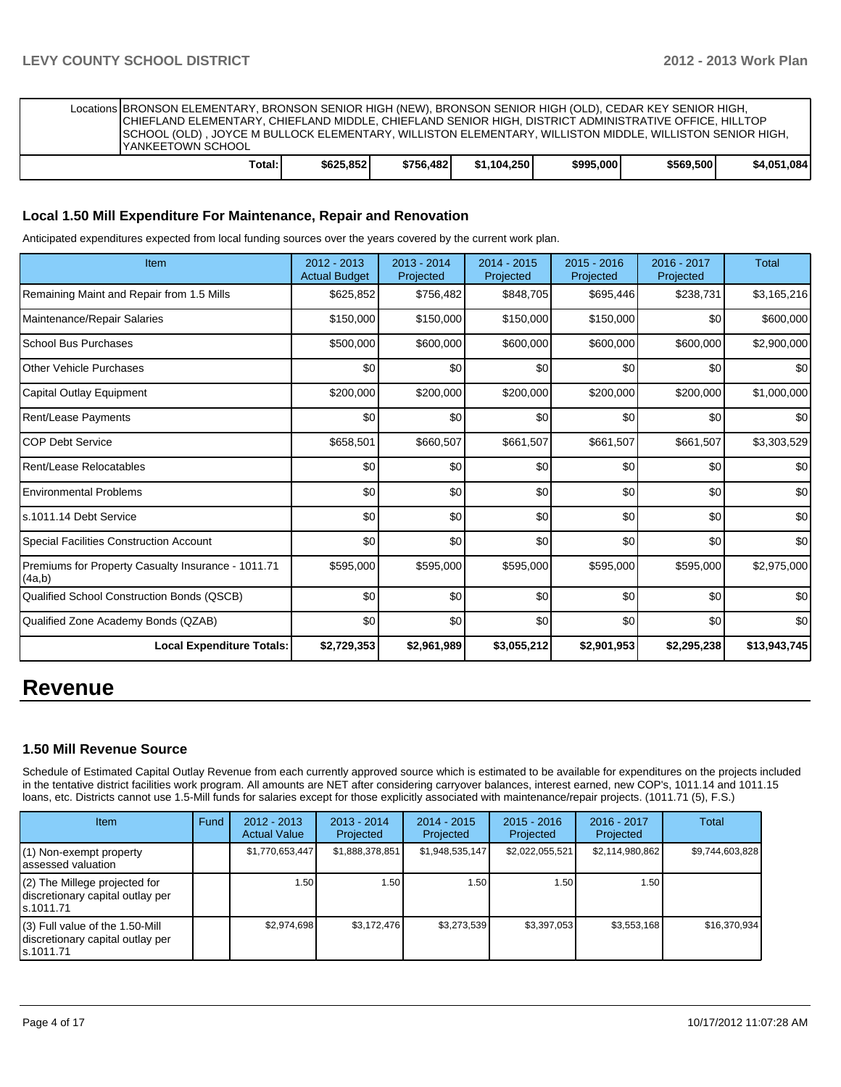| Locations BRONSON ELEMENTARY, BRONSON SENIOR HIGH (NEW), BRONSON SENIOR HIGH (OLD), CEDAR KEY SENIOR HIGH,<br>CHIEFLAND ELEMENTARY, CHIEFLAND MIDDLE, CHIEFLAND SENIOR HIGH, DISTRICT ADMINISTRATIVE OFFICE, HILLTOP<br>SCHOOL (OLD), JOYCE M BULLOCK ELEMENTARY, WILLISTON ELEMENTARY, WILLISTON MIDDLE, WILLISTON SENIOR HIGH,<br><b>IYANKEETOWN SCHOOL</b> |           |           |             |           |           |             |
|---------------------------------------------------------------------------------------------------------------------------------------------------------------------------------------------------------------------------------------------------------------------------------------------------------------------------------------------------------------|-----------|-----------|-------------|-----------|-----------|-------------|
| Total: I                                                                                                                                                                                                                                                                                                                                                      | \$625.852 | \$756.482 | \$1.104.250 | \$995,000 | \$569,500 | \$4.051.084 |

#### **Local 1.50 Mill Expenditure For Maintenance, Repair and Renovation**

Anticipated expenditures expected from local funding sources over the years covered by the current work plan.

| Item                                                         | 2012 - 2013<br><b>Actual Budget</b> | $2013 - 2014$<br>Projected | $2014 - 2015$<br>Projected | $2015 - 2016$<br>Projected | 2016 - 2017<br>Projected | <b>Total</b> |
|--------------------------------------------------------------|-------------------------------------|----------------------------|----------------------------|----------------------------|--------------------------|--------------|
| Remaining Maint and Repair from 1.5 Mills                    | \$625,852                           | \$756,482                  | \$848,705                  | \$695,446                  | \$238,731                | \$3,165,216  |
| Maintenance/Repair Salaries                                  | \$150,000                           | \$150,000                  | \$150,000                  | \$150,000                  | \$0                      | \$600,000    |
| School Bus Purchases                                         | \$500,000                           | \$600,000                  | \$600,000                  | \$600,000                  | \$600,000                | \$2,900,000  |
| Other Vehicle Purchases                                      | \$0                                 | \$0                        | \$0                        | \$0                        | \$0                      | \$0          |
| Capital Outlay Equipment                                     | \$200,000                           | \$200,000                  | \$200,000                  | \$200,000                  | \$200,000                | \$1,000,000  |
| Rent/Lease Payments                                          | \$0                                 | \$0                        | \$0                        | \$0                        | \$0                      | \$0          |
| <b>COP Debt Service</b>                                      | \$658,501                           | \$660,507                  | \$661,507                  | \$661,507                  | \$661,507                | \$3,303,529  |
| Rent/Lease Relocatables                                      | \$0                                 | \$0                        | \$0                        | \$0                        | \$0                      | \$0          |
| <b>Environmental Problems</b>                                | \$0                                 | \$0                        | \$0                        | \$0                        | \$0                      | \$0          |
| s.1011.14 Debt Service                                       | \$0                                 | \$0                        | \$0                        | \$0                        | \$0                      | \$0          |
| <b>Special Facilities Construction Account</b>               | \$0                                 | \$0                        | \$0                        | \$0                        | \$0                      | \$0          |
| Premiums for Property Casualty Insurance - 1011.71<br>(4a,b) | \$595,000                           | \$595,000                  | \$595,000                  | \$595,000                  | \$595,000                | \$2,975,000  |
| Qualified School Construction Bonds (QSCB)                   | \$0                                 | \$0                        | \$0                        | \$0                        | \$0                      | \$0          |
| Qualified Zone Academy Bonds (QZAB)                          | \$0                                 | \$0                        | \$0                        | \$0                        | \$0                      | \$0          |
| <b>Local Expenditure Totals:</b>                             | \$2,729,353                         | \$2,961,989                | \$3,055,212                | \$2,901,953                | \$2,295,238              | \$13,943,745 |

# **Revenue**

#### **1.50 Mill Revenue Source**

Schedule of Estimated Capital Outlay Revenue from each currently approved source which is estimated to be available for expenditures on the projects included in the tentative district facilities work program. All amounts are NET after considering carryover balances, interest earned, new COP's, 1011.14 and 1011.15 loans, etc. Districts cannot use 1.5-Mill funds for salaries except for those explicitly associated with maintenance/repair projects. (1011.71 (5), F.S.)

| <b>Item</b>                                                                         | <b>Fund</b> | $2012 - 2013$<br><b>Actual Value</b> | $2013 - 2014$<br>Projected | $2014 - 2015$<br>Projected | $2015 - 2016$<br>Projected | $2016 - 2017$<br>Projected | Total           |
|-------------------------------------------------------------------------------------|-------------|--------------------------------------|----------------------------|----------------------------|----------------------------|----------------------------|-----------------|
| $(1)$ Non-exempt property<br>lassessed valuation                                    |             | \$1,770,653,447                      | \$1,888,378,851            | \$1,948,535,147            | \$2,022,055,521            | \$2,114,980,862            | \$9,744,603,828 |
| $(2)$ The Millege projected for<br>discretionary capital outlay per<br>ls.1011.71   |             | 1.50                                 | 1.50                       | 1.50                       | 1.50                       | 1.50 <sub>l</sub>          |                 |
| $(3)$ Full value of the 1.50-Mill<br>discretionary capital outlay per<br>ls.1011.71 |             | \$2,974,698                          | \$3,172,476                | \$3,273,539                | \$3,397,053                | \$3,553,168                | \$16,370,934    |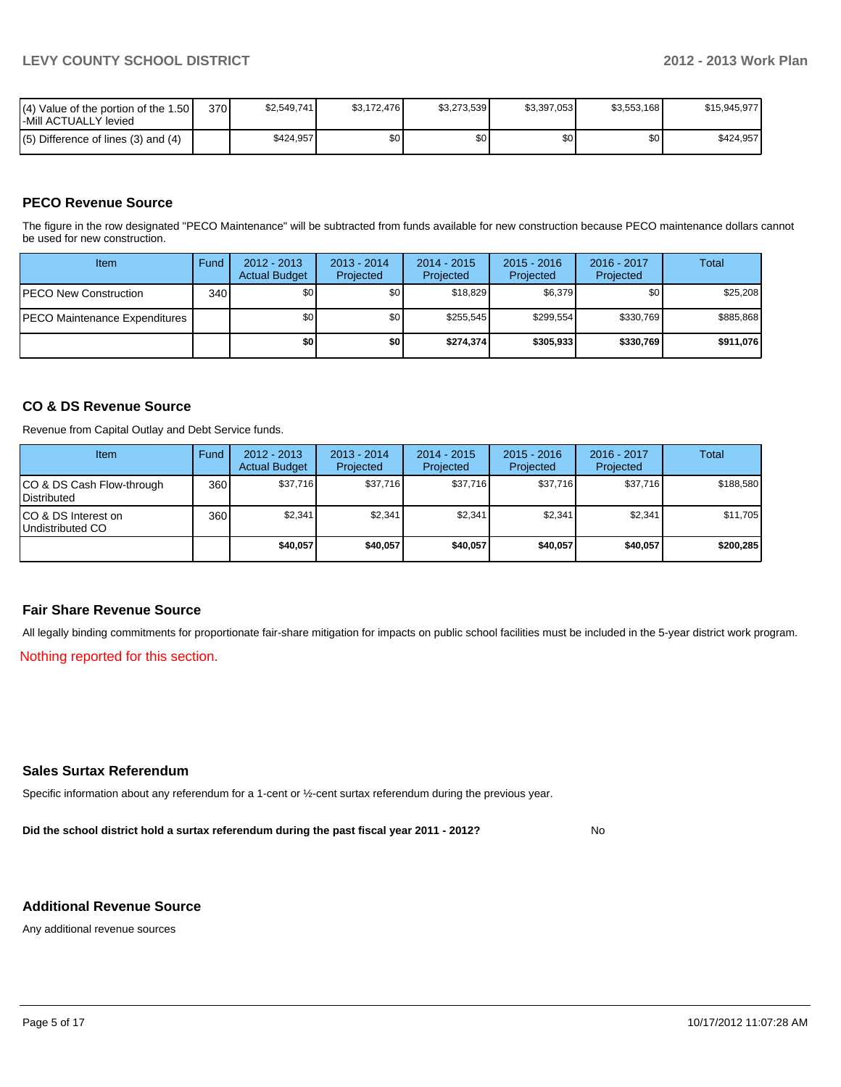| $(4)$ Value of the portion of the 1.50<br>l-Mill ACTUALLY levied | 370 | \$2.549.741 | \$3.172.476 | \$3.273.539 | \$3,397,053 | \$3,553,168      | \$15.945.977 |
|------------------------------------------------------------------|-----|-------------|-------------|-------------|-------------|------------------|--------------|
| $(5)$ Difference of lines $(3)$ and $(4)$                        |     | \$424.957   | \$0         | \$0         | \$0         | \$0 <sub>1</sub> | \$424.957    |

# **PECO Revenue Source**

The figure in the row designated "PECO Maintenance" will be subtracted from funds available for new construction because PECO maintenance dollars cannot be used for new construction.

| Item                                  | Fund | $2012 - 2013$<br><b>Actual Budget</b> | $2013 - 2014$<br>Projected | $2014 - 2015$<br>Projected | $2015 - 2016$<br>Projected | $2016 - 2017$<br>Projected | Total     |
|---------------------------------------|------|---------------------------------------|----------------------------|----------------------------|----------------------------|----------------------------|-----------|
| <b>IPECO New Construction</b>         | 340  | \$0 <sub>1</sub>                      | \$0                        | \$18,829                   | \$6,379                    | \$0                        | \$25,208  |
| <b>IPECO Maintenance Expenditures</b> |      | \$0                                   | \$0                        | \$255.545                  | \$299.554                  | \$330,769                  | \$885,868 |
|                                       |      | \$0                                   | \$0 I                      | \$274.374                  | \$305,933                  | \$330.769                  | \$911,076 |

### **CO & DS Revenue Source**

Revenue from Capital Outlay and Debt Service funds.

| <b>Item</b>                                        | Fund | $2012 - 2013$<br><b>Actual Budget</b> | $2013 - 2014$<br>Projected | $2014 - 2015$<br>Projected | $2015 - 2016$<br>Projected | 2016 - 2017<br>Projected | Total     |
|----------------------------------------------------|------|---------------------------------------|----------------------------|----------------------------|----------------------------|--------------------------|-----------|
| ICO & DS Cash Flow-through<br><b>I</b> Distributed | 360  | \$37,716                              | \$37,716                   | \$37,716                   | \$37,716                   | \$37,716                 | \$188,580 |
| ICO & DS Interest on<br>Undistributed CO           | 360  | \$2,341                               | \$2,341                    | \$2,341                    | \$2.341                    | \$2.341                  | \$11,705  |
|                                                    |      | \$40,057                              | \$40,057                   | \$40,057                   | \$40,057                   | \$40,057                 | \$200.285 |

#### **Fair Share Revenue Source**

All legally binding commitments for proportionate fair-share mitigation for impacts on public school facilities must be included in the 5-year district work program.

Nothing reported for this section.

#### **Sales Surtax Referendum**

Specific information about any referendum for a 1-cent or ½-cent surtax referendum during the previous year.

**Did the school district hold a surtax referendum during the past fiscal year 2011 - 2012?**

No

#### **Additional Revenue Source**

Any additional revenue sources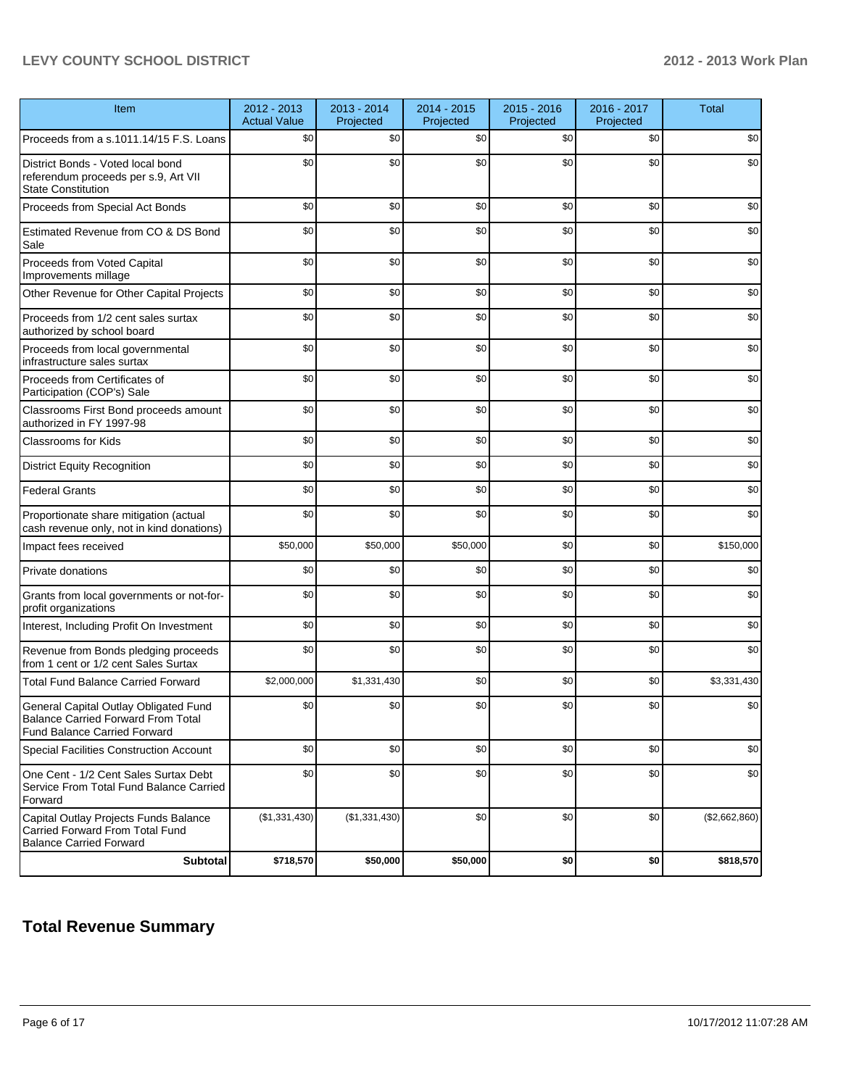# **LEVY COUNTY SCHOOL DISTRICT 2012 - 2013 Work Plan**

| Item                                                                                                               | 2012 - 2013<br><b>Actual Value</b> | 2013 - 2014<br>Projected | 2014 - 2015<br>Projected | 2015 - 2016<br>Projected | 2016 - 2017<br>Projected | <b>Total</b>  |
|--------------------------------------------------------------------------------------------------------------------|------------------------------------|--------------------------|--------------------------|--------------------------|--------------------------|---------------|
| Proceeds from a s.1011.14/15 F.S. Loans                                                                            | \$0                                | \$0                      | \$0                      | \$0                      | \$0                      | \$0           |
| District Bonds - Voted local bond<br>referendum proceeds per s.9, Art VII<br><b>State Constitution</b>             | \$0                                | \$0                      | \$0                      | \$0                      | \$0                      | \$0           |
| Proceeds from Special Act Bonds                                                                                    | \$0                                | \$0                      | \$0                      | \$0                      | \$0                      | \$0           |
| Estimated Revenue from CO & DS Bond<br>Sale                                                                        | \$0                                | \$0                      | \$0                      | \$0                      | \$0                      | \$0           |
| Proceeds from Voted Capital<br>Improvements millage                                                                | \$0                                | \$0                      | \$0                      | \$0                      | \$0                      | \$0           |
| Other Revenue for Other Capital Projects                                                                           | \$0                                | \$0                      | \$0                      | \$0                      | \$0                      | \$0           |
| Proceeds from 1/2 cent sales surtax<br>authorized by school board                                                  | \$0                                | \$0                      | \$0                      | \$0                      | \$0                      | \$0           |
| Proceeds from local governmental<br>infrastructure sales surtax                                                    | \$0                                | \$0                      | \$0                      | \$0                      | \$0                      | \$0           |
| Proceeds from Certificates of<br>Participation (COP's) Sale                                                        | \$0                                | \$0                      | \$0                      | \$0                      | \$0                      | \$0           |
| Classrooms First Bond proceeds amount<br>authorized in FY 1997-98                                                  | \$0                                | \$0                      | \$0                      | \$0                      | \$0                      | \$0           |
| <b>Classrooms for Kids</b>                                                                                         | \$0                                | \$0                      | \$0                      | \$0                      | \$0                      | \$0           |
| <b>District Equity Recognition</b>                                                                                 | \$0                                | \$0                      | \$0                      | \$0                      | \$0                      | \$0           |
| <b>Federal Grants</b>                                                                                              | \$0                                | \$0                      | \$0                      | \$0                      | \$0                      | \$0           |
| Proportionate share mitigation (actual<br>cash revenue only, not in kind donations)                                | \$0                                | \$0                      | \$0                      | \$0                      | \$0                      | \$0           |
| Impact fees received                                                                                               | \$50,000                           | \$50,000                 | \$50,000                 | \$0                      | \$0                      | \$150,000     |
| Private donations                                                                                                  | \$0                                | \$0                      | \$0                      | \$0                      | \$0                      | \$0           |
| Grants from local governments or not-for-<br>profit organizations                                                  | \$0                                | \$0                      | \$0                      | \$0                      | \$0                      | \$0           |
| Interest, Including Profit On Investment                                                                           | \$0                                | \$0                      | \$0                      | \$0                      | \$0                      | \$0           |
| Revenue from Bonds pledging proceeds<br>from 1 cent or 1/2 cent Sales Surtax                                       | \$0                                | \$0                      | \$0                      | \$0                      | \$0                      | \$0           |
| <b>Total Fund Balance Carried Forward</b>                                                                          | \$2,000,000                        | \$1,331,430              | \$0                      | \$0                      | \$0                      | \$3,331,430   |
| General Capital Outlay Obligated Fund<br><b>Balance Carried Forward From Total</b><br>Fund Balance Carried Forward | \$0                                | \$0                      | \$0                      | \$0                      | \$0                      | \$0           |
| Special Facilities Construction Account                                                                            | \$0                                | \$0                      | \$0                      | \$0                      | \$0                      | \$0           |
| One Cent - 1/2 Cent Sales Surtax Debt<br>Service From Total Fund Balance Carried<br>Forward                        | \$0                                | \$0                      | \$0                      | \$0                      | \$0                      | \$0           |
| Capital Outlay Projects Funds Balance<br>Carried Forward From Total Fund<br><b>Balance Carried Forward</b>         | (\$1,331,430)                      | (\$1,331,430)            | \$0                      | \$0                      | \$0                      | (\$2,662,860) |
| <b>Subtotal</b>                                                                                                    | \$718,570                          | \$50,000                 | \$50,000                 | \$0                      | \$0                      | \$818,570     |

# **Total Revenue Summary**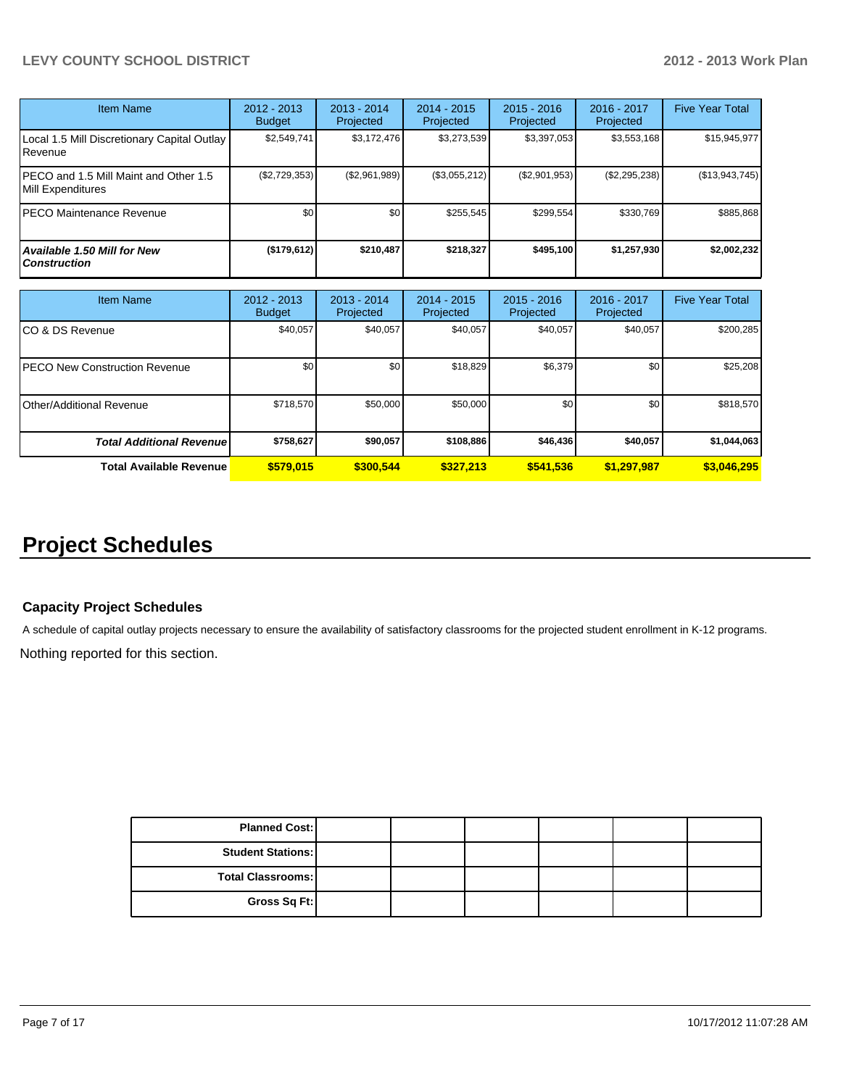# **LEVY COUNTY SCHOOL DISTRICT 2012 - 2013 Work Plan**

| <b>Item Name</b>                                           | 2012 - 2013<br><b>Budget</b> | $2013 - 2014$<br>Projected | $2014 - 2015$<br>Projected | $2015 - 2016$<br>Projected | $2016 - 2017$<br>Projected | <b>Five Year Total</b> |
|------------------------------------------------------------|------------------------------|----------------------------|----------------------------|----------------------------|----------------------------|------------------------|
| Local 1.5 Mill Discretionary Capital Outlay<br>Revenue     | \$2,549,741                  | \$3,172,476                | \$3,273,539                | \$3,397,053                | \$3,553,168                | \$15,945,977           |
| PECO and 1.5 Mill Maint and Other 1.5<br>Mill Expenditures | $(\$2,729,353)$              | (\$2,961,989)              | (\$3,055,212)              | (\$2,901,953)              | $(\$2,295,238)$            | (\$13,943,745)         |
| PECO Maintenance Revenue                                   | \$0                          | \$0                        | \$255.545                  | \$299.554                  | \$330.769                  | \$885,868              |
| Available 1.50 Mill for New<br><b>Construction</b>         | (\$179,612)                  | \$210.487                  | \$218.327                  | \$495.100                  | \$1,257,930                | \$2,002,232            |

| Item Name                            | 2012 - 2013<br><b>Budget</b> | $2013 - 2014$<br>Projected | $2014 - 2015$<br>Projected | $2015 - 2016$<br>Projected | $2016 - 2017$<br>Projected | <b>Five Year Total</b> |
|--------------------------------------|------------------------------|----------------------------|----------------------------|----------------------------|----------------------------|------------------------|
| CO & DS Revenue                      | \$40,057                     | \$40,057                   | \$40,057                   | \$40,057                   | \$40,057                   | \$200,285              |
| <b>PECO New Construction Revenue</b> | \$0                          | \$0                        | \$18,829                   | \$6,379                    | \$0                        | \$25,208               |
| Other/Additional Revenue             | \$718,570                    | \$50,000                   | \$50,000                   | \$0                        | \$0                        | \$818,570              |
| <b>Total Additional Revenuel</b>     | \$758,627                    | \$90,057                   | \$108,886                  | \$46,436                   | \$40,057                   | \$1,044,063            |
| <b>Total Available Revenue</b>       | \$579,015                    | \$300.544                  | \$327.213                  | \$541,536                  | \$1,297,987                | \$3,046,295            |

# **Project Schedules**

### **Capacity Project Schedules**

A schedule of capital outlay projects necessary to ensure the availability of satisfactory classrooms for the projected student enrollment in K-12 programs.

Nothing reported for this section.

| <b>Planned Cost:</b>     |  |  |  |
|--------------------------|--|--|--|
| <b>Student Stations:</b> |  |  |  |
| <b>Total Classrooms:</b> |  |  |  |
| Gross Sq Ft:             |  |  |  |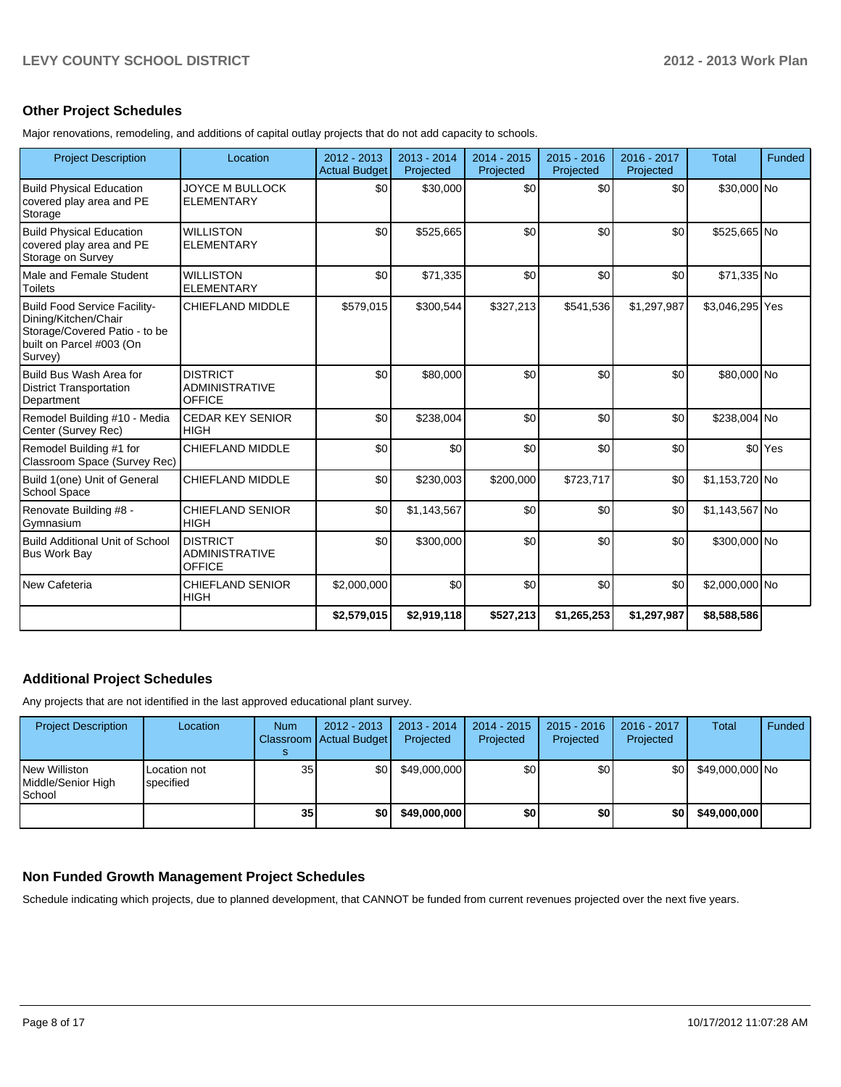# **Other Project Schedules**

Major renovations, remodeling, and additions of capital outlay projects that do not add capacity to schools.

| <b>Project Description</b>                                                                                                   | Location                                                  | $2012 - 2013$<br><b>Actual Budget</b> | $2013 - 2014$<br>Projected | $2014 - 2015$<br>Projected | $2015 - 2016$<br>Projected | $2016 - 2017$<br>Projected | <b>Total</b>    | Funded             |
|------------------------------------------------------------------------------------------------------------------------------|-----------------------------------------------------------|---------------------------------------|----------------------------|----------------------------|----------------------------|----------------------------|-----------------|--------------------|
| Build Physical Education<br>covered play area and PE<br>Storage                                                              | <b>JOYCE M BULLOCK</b><br><b>ELEMENTARY</b>               | \$0                                   | \$30,000                   | \$0                        | \$0                        | \$0                        | \$30,000 No     |                    |
| <b>Build Physical Education</b><br>covered play area and PE<br>Storage on Survey                                             | <b>WILLISTON</b><br><b>ELEMENTARY</b>                     | \$0                                   | \$525,665                  | \$0                        | \$0                        | \$0                        | \$525,665 No    |                    |
| Male and Female Student<br>Toilets                                                                                           | <b>WILLISTON</b><br><b>ELEMENTARY</b>                     | \$0                                   | \$71,335                   | \$0                        | \$0                        | \$0                        | \$71,335 No     |                    |
| Build Food Service Facility-<br>Dining/Kitchen/Chair<br>Storage/Covered Patio - to be<br>built on Parcel #003 (On<br>Survey) | <b>CHIEFLAND MIDDLE</b>                                   | \$579,015                             | \$300,544                  | \$327,213                  | \$541,536                  | \$1,297,987                | \$3,046,295 Yes |                    |
| Build Bus Wash Area for<br><b>District Transportation</b><br>Department                                                      | <b>DISTRICT</b><br><b>ADMINISTRATIVE</b><br><b>OFFICE</b> | \$0                                   | \$80,000                   | \$0                        | \$0                        | \$0                        | \$80,000 No     |                    |
| Remodel Building #10 - Media<br>Center (Survey Rec)                                                                          | <b>CEDAR KEY SENIOR</b><br><b>HIGH</b>                    | \$0                                   | \$238,004                  | \$0                        | \$0                        | \$0                        | \$238,004 No    |                    |
| Remodel Building #1 for<br>Classroom Space (Survey Rec)                                                                      | CHIEFLAND MIDDLE                                          | \$0                                   | \$0                        | \$0                        | \$0                        | \$0                        |                 | \$0 <sup>Yes</sup> |
| Build 1(one) Unit of General<br>School Space                                                                                 | CHIEFLAND MIDDLE                                          | \$0                                   | \$230,003                  | \$200,000                  | \$723,717                  | \$0                        | \$1,153,720 No  |                    |
| Renovate Building #8 -<br>Gymnasium                                                                                          | <b>CHIEFLAND SENIOR</b><br><b>HIGH</b>                    | \$0                                   | \$1,143,567                | \$0                        | \$0                        | \$0                        | \$1,143,567 No  |                    |
| Build Additional Unit of School<br><b>Bus Work Bay</b>                                                                       | <b>DISTRICT</b><br><b>ADMINISTRATIVE</b><br><b>OFFICE</b> | \$0                                   | \$300,000                  | \$0                        | \$0                        | \$0                        | \$300,000 No    |                    |
| New Cafeteria                                                                                                                | <b>CHIEFLAND SENIOR</b><br><b>HIGH</b>                    | \$2,000,000                           | \$0                        | \$0                        | \$0                        | \$0                        | \$2,000,000 No  |                    |
|                                                                                                                              |                                                           | \$2,579,015                           | \$2,919,118                | \$527,213                  | \$1,265,253                | \$1,297,987                | \$8,588,586     |                    |

#### **Additional Project Schedules**

Any projects that are not identified in the last approved educational plant survey.

| <b>Project Description</b>                    | Location                  | <b>Num</b>      | 2012 - 2013<br>Classroom   Actual Budget | 2013 - 2014<br>Projected | $2014 - 2015$<br>Projected | $2015 - 2016$<br>Projected | 2016 - 2017<br>Projected | <b>Total</b>    | Funded |
|-----------------------------------------------|---------------------------|-----------------|------------------------------------------|--------------------------|----------------------------|----------------------------|--------------------------|-----------------|--------|
| New Williston<br>Middle/Senior High<br>School | Location not<br>specified | 35 <sub>1</sub> | \$0 I                                    | \$49,000,000             | \$0                        | \$0                        | \$0l                     | \$49,000,000 No |        |
|                                               |                           | 35              | \$0                                      | \$49,000,000             | \$0                        | \$0                        | \$0                      | \$49,000,000    |        |

# **Non Funded Growth Management Project Schedules**

Schedule indicating which projects, due to planned development, that CANNOT be funded from current revenues projected over the next five years.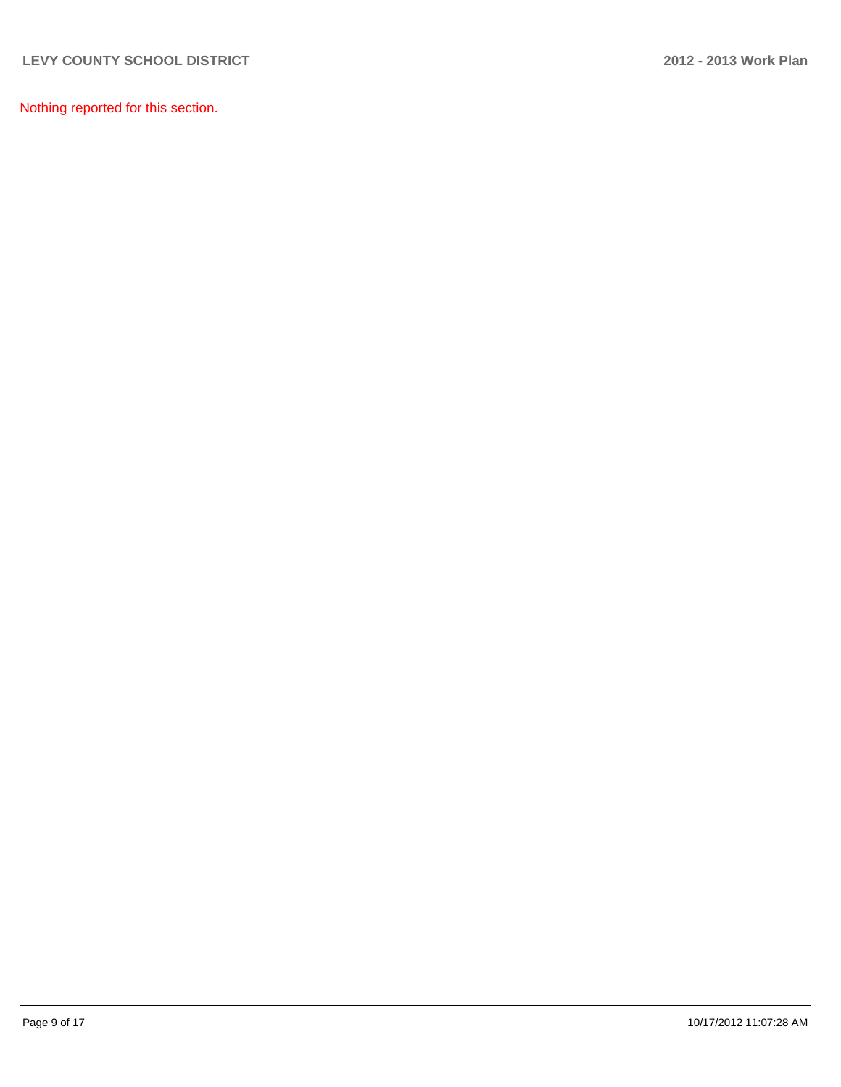Nothing reported for this section.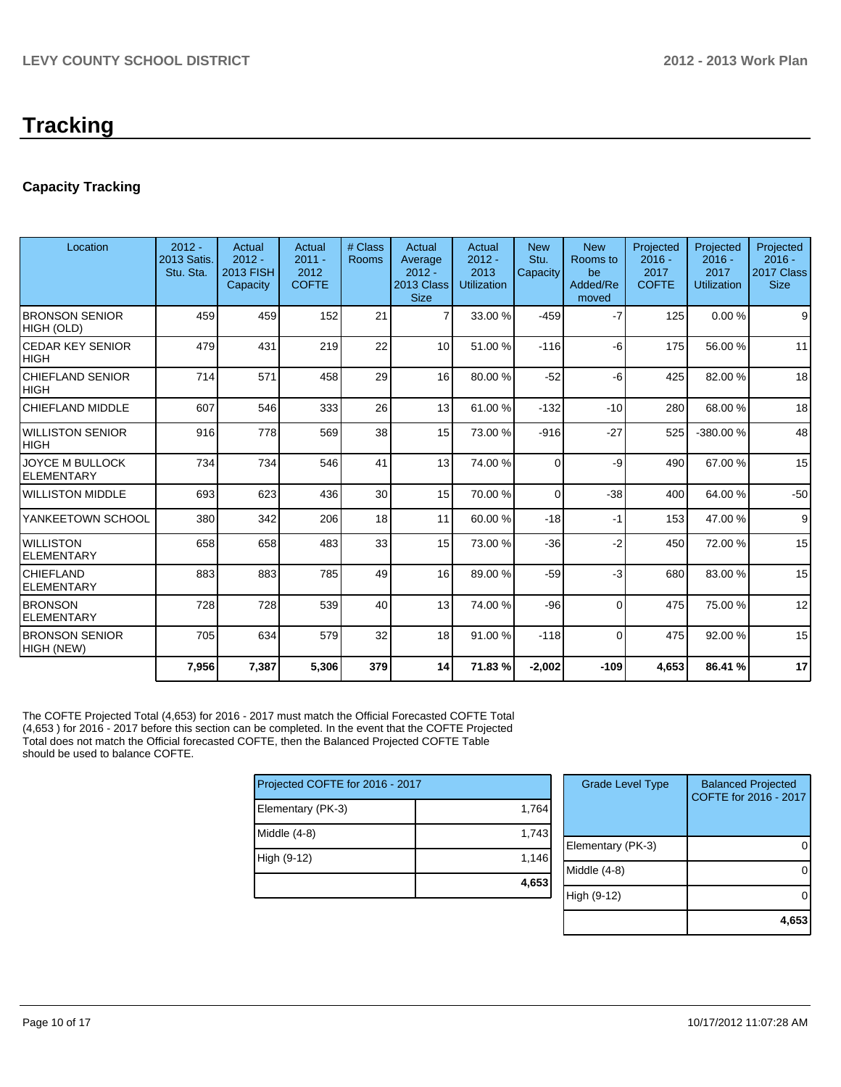# **Tracking**

# **Capacity Tracking**

| Location                               | $2012 -$<br>2013 Satis.<br>Stu. Sta. | Actual<br>$2012 -$<br><b>2013 FISH</b><br>Capacity | Actual<br>$2011 -$<br>2012<br><b>COFTE</b> | # Class<br><b>Rooms</b> | Actual<br>Average<br>$2012 -$<br>2013 Class<br><b>Size</b> | Actual<br>$2012 -$<br>2013<br><b>Utilization</b> | <b>New</b><br>Stu.<br>Capacity | <b>New</b><br>Rooms to<br>be<br>Added/Re<br>moved | Projected<br>$2016 -$<br>2017<br><b>COFTE</b> | Projected<br>$2016 -$<br>2017<br><b>Utilization</b> | Projected<br>$2016 -$<br>2017 Class<br><b>Size</b> |
|----------------------------------------|--------------------------------------|----------------------------------------------------|--------------------------------------------|-------------------------|------------------------------------------------------------|--------------------------------------------------|--------------------------------|---------------------------------------------------|-----------------------------------------------|-----------------------------------------------------|----------------------------------------------------|
| <b>BRONSON SENIOR</b><br>HIGH (OLD)    | 459                                  | 459                                                | 152                                        | 21                      | $\overline{7}$                                             | 33.00 %                                          | $-459$                         | $-7$                                              | 125                                           | 0.00%                                               | 9                                                  |
| <b>CEDAR KEY SENIOR</b><br><b>HIGH</b> | 479                                  | 431                                                | 219                                        | 22                      | 10 <sup>1</sup>                                            | 51.00 %                                          | $-116$                         | -6                                                | 175                                           | 56.00 %                                             | 11                                                 |
| CHIEFLAND SENIOR<br><b>HIGH</b>        | 714                                  | 571                                                | 458                                        | 29                      | 16                                                         | 80.00 %                                          | $-52$                          | -6                                                | 425                                           | 82.00%                                              | 18                                                 |
| CHIEFLAND MIDDLE                       | 607                                  | 546                                                | 333                                        | 26                      | 13                                                         | 61.00 %                                          | $-132$                         | $-10$                                             | 280                                           | 68.00 %                                             | 18                                                 |
| <b>WILLISTON SENIOR</b><br><b>HIGH</b> | 916                                  | 778                                                | 569                                        | 38                      | 15                                                         | 73.00 %                                          | $-916$                         | $-27$                                             | 525                                           | -380.00%                                            | 48                                                 |
| JOYCE M BULLOCK<br><b>ELEMENTARY</b>   | 734                                  | 734                                                | 546                                        | 41                      | 13                                                         | 74.00 %                                          | $\Omega$                       | -9                                                | 490                                           | 67.00 %                                             | 15                                                 |
| <b>WILLISTON MIDDLE</b>                | 693                                  | 623                                                | 436                                        | 30                      | 15                                                         | 70.00 %                                          | $\Omega$                       | $-38$                                             | 400                                           | 64.00%                                              | $-50$                                              |
| YANKEETOWN SCHOOL                      | 380                                  | 342                                                | 206                                        | 18                      | 11                                                         | 60.00 %                                          | $-18$                          | $-1$                                              | 153                                           | 47.00 %                                             | 9                                                  |
| <b>WILLISTON</b><br><b>ELEMENTARY</b>  | 658                                  | 658                                                | 483                                        | 33                      | 15                                                         | 73.00 %                                          | $-36$                          | $-2$                                              | 450                                           | 72.00 %                                             | 15                                                 |
| <b>CHIEFLAND</b><br><b>ELEMENTARY</b>  | 883                                  | 883                                                | 785                                        | 49                      | 16                                                         | 89.00 %                                          | $-59$                          | $-3$                                              | 680                                           | 83.00 %                                             | 15                                                 |
| <b>BRONSON</b><br><b>ELEMENTARY</b>    | 728                                  | 728                                                | 539                                        | 40                      | 13                                                         | 74.00 %                                          | $-96$                          | $\Omega$                                          | 475                                           | 75.00 %                                             | 12                                                 |
| <b>BRONSON SENIOR</b><br>HIGH (NEW)    | 705                                  | 634                                                | 579                                        | 32                      | 18                                                         | 91.00 %                                          | $-118$                         | $\Omega$                                          | 475                                           | 92.00%                                              | 15                                                 |
|                                        | 7,956                                | 7,387                                              | 5,306                                      | 379                     | 14                                                         | 71.83 %                                          | $-2,002$                       | $-109$                                            | 4,653                                         | 86.41 %                                             | 17                                                 |

The COFTE Projected Total (4,653) for 2016 - 2017 must match the Official Forecasted COFTE Total (4,653 ) for 2016 - 2017 before this section can be completed. In the event that the COFTE Projected Total does not match the Official forecasted COFTE, then the Balanced Projected COFTE Table should be used to balance COFTE.

| Projected COFTE for 2016 - 2017 |       |  |  |  |  |
|---------------------------------|-------|--|--|--|--|
| Elementary (PK-3)               | 1,764 |  |  |  |  |
| Middle (4-8)                    | 1,743 |  |  |  |  |
| High (9-12)                     | 1,146 |  |  |  |  |
|                                 | 4,653 |  |  |  |  |

| <b>Grade Level Type</b> | <b>Balanced Projected</b><br>COFTE for 2016 - 2017 |
|-------------------------|----------------------------------------------------|
| Elementary (PK-3)       |                                                    |
| Middle $(4-8)$          |                                                    |
| High (9-12)             |                                                    |
|                         | 4,65                                               |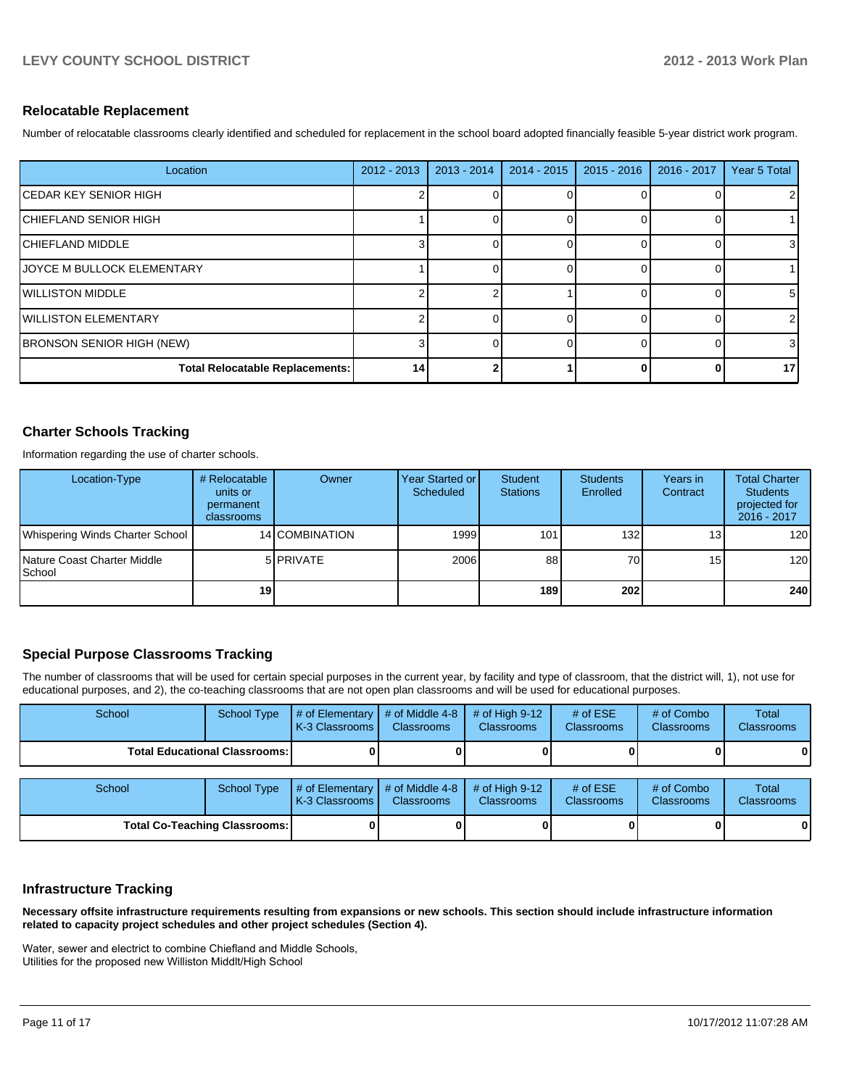#### **Relocatable Replacement**

Number of relocatable classrooms clearly identified and scheduled for replacement in the school board adopted financially feasible 5-year district work program.

| Location                           | $2012 - 2013$ | $2013 - 2014$ | $2014 - 2015$ | $2015 - 2016$ | 2016 - 2017 | Year 5 Total |
|------------------------------------|---------------|---------------|---------------|---------------|-------------|--------------|
| <b>CEDAR KEY SENIOR HIGH</b>       |               |               |               |               |             |              |
| ICHIEFLAND SENIOR HIGH             |               |               |               |               |             |              |
| <b>ICHIEFLAND MIDDLE</b>           |               |               |               |               |             |              |
| <b>IJOYCE M BULLOCK ELEMENTARY</b> |               |               |               |               |             |              |
| <b>IWILLISTON MIDDLE</b>           |               |               |               |               |             | 5            |
| <b>IWILLISTON ELEMENTARY</b>       |               |               |               |               |             |              |
| <b>BRONSON SENIOR HIGH (NEW)</b>   |               |               |               |               |             | 3            |
| Total Relocatable Replacements:    | 14            |               |               |               |             | 17           |

### **Charter Schools Tracking**

Information regarding the use of charter schools.

| Location-Type                                  | # Relocatable<br>units or<br>permanent<br>classrooms | Owner            | Year Started or I<br>Scheduled | Student<br><b>Stations</b> | <b>Students</b><br>Enrolled | Years in<br>Contract | <b>Total Charter</b><br><b>Students</b><br>projected for<br>2016 - 2017 |
|------------------------------------------------|------------------------------------------------------|------------------|--------------------------------|----------------------------|-----------------------------|----------------------|-------------------------------------------------------------------------|
| Whispering Winds Charter School                |                                                      | 14 COMBINATION   | 1999                           | 101                        | 132                         | 13 <sub>1</sub>      | 120 <sub>l</sub>                                                        |
| Nature Coast Charter Middle<br><b>I</b> School |                                                      | 5 <b>PRIVATE</b> | 2006                           | 88                         | 70                          | 15                   | 120                                                                     |
|                                                | 19                                                   |                  |                                | 189 l                      | 202                         |                      | 240                                                                     |

# **Special Purpose Classrooms Tracking**

The number of classrooms that will be used for certain special purposes in the current year, by facility and type of classroom, that the district will, 1), not use for educational purposes, and 2), the co-teaching classrooms that are not open plan classrooms and will be used for educational purposes.

| School                                 | <b>School Type</b> | # of Elementary<br>K-3 Classrooms | # of Middle 4-8<br><b>Classrooms</b> | # of High $9-12$<br><b>Classrooms</b> | # of $ESE$<br>Classrooms | # of Combo<br><b>Classrooms</b> | Total<br><b>Classrooms</b> |
|----------------------------------------|--------------------|-----------------------------------|--------------------------------------|---------------------------------------|--------------------------|---------------------------------|----------------------------|
| <b>Total Educational Classrooms: I</b> |                    |                                   |                                      |                                       |                          |                                 | 01                         |
|                                        |                    |                                   |                                      |                                       |                          |                                 |                            |
| School                                 | <b>School Type</b> | # of Elementary<br>K-3 Classrooms | # of Middle 4-8<br><b>Classrooms</b> | # of High $9-12$<br><b>Classrooms</b> | # of $ESE$<br>Classrooms | # of Combo<br><b>Classrooms</b> | Total<br><b>Classrooms</b> |
| <b>Total Co-Teaching Classrooms:</b>   |                    |                                   |                                      |                                       |                          | 01                              |                            |

#### **Infrastructure Tracking**

**Necessary offsite infrastructure requirements resulting from expansions or new schools. This section should include infrastructure information related to capacity project schedules and other project schedules (Section 4).**

Water, sewer and electrict to combine Chiefland and Middle Schools, Utilities for the proposed new Williston Middlt/High School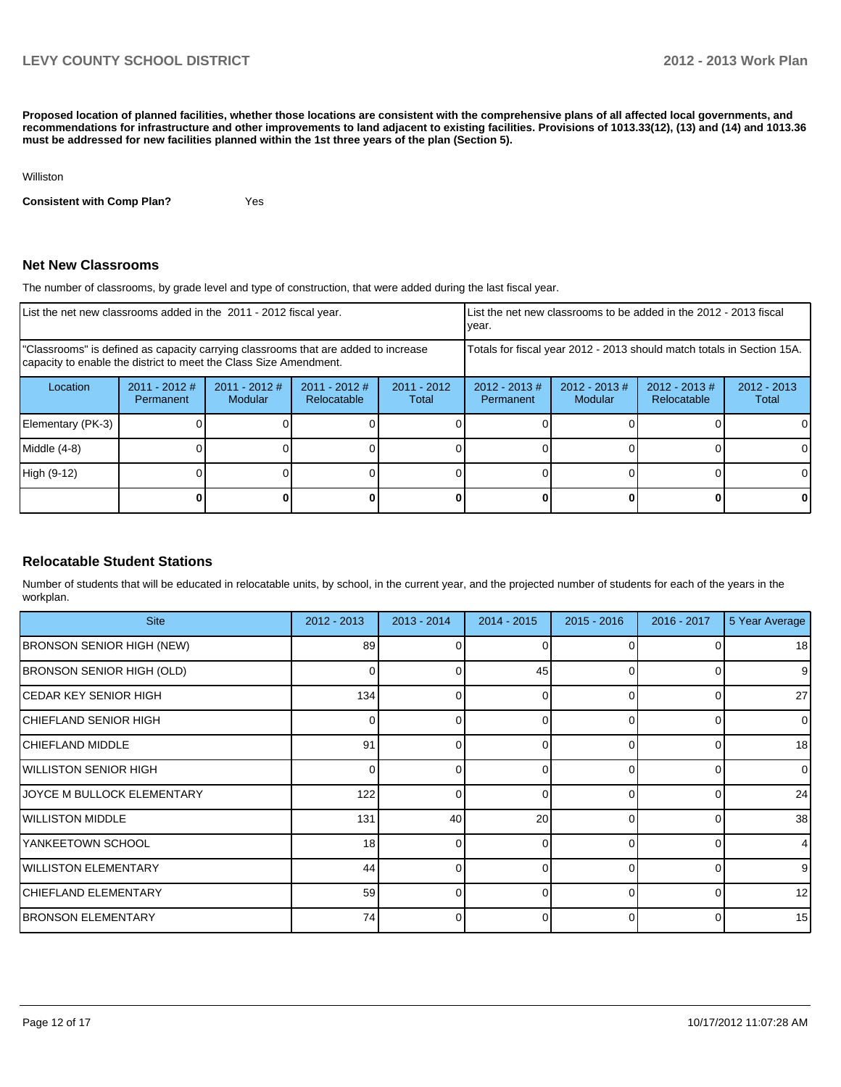**Proposed location of planned facilities, whether those locations are consistent with the comprehensive plans of all affected local governments, and recommendations for infrastructure and other improvements to land adjacent to existing facilities. Provisions of 1013.33(12), (13) and (14) and 1013.36 must be addressed for new facilities planned within the 1st three years of the plan (Section 5).**

Williston

**Consistent with Comp Plan?** Yes

#### **Net New Classrooms**

The number of classrooms, by grade level and type of construction, that were added during the last fiscal year.

| List the net new classrooms added in the 2011 - 2012 fiscal year.                                                                                       |                              |                            |                                |                                            | List the net new classrooms to be added in the 2012 - 2013 fiscal<br>year. |                             |                                 |                        |
|---------------------------------------------------------------------------------------------------------------------------------------------------------|------------------------------|----------------------------|--------------------------------|--------------------------------------------|----------------------------------------------------------------------------|-----------------------------|---------------------------------|------------------------|
| "Classrooms" is defined as capacity carrying classrooms that are added to increase<br>capacity to enable the district to meet the Class Size Amendment. |                              |                            |                                |                                            | Totals for fiscal year 2012 - 2013 should match totals in Section 15A.     |                             |                                 |                        |
| Location                                                                                                                                                | $2011 - 2012$ #<br>Permanent | $2011 - 2012$ #<br>Modular | $2011 - 2012$ #<br>Relocatable | $2011 - 2012$<br>$2012 - 2013 \#$<br>Total |                                                                            | $2012 - 2013 \#$<br>Modular | $2012 - 2013 \#$<br>Relocatable | $2012 - 2013$<br>Total |
| Elementary (PK-3)                                                                                                                                       |                              |                            |                                |                                            |                                                                            |                             |                                 |                        |
| Middle (4-8)                                                                                                                                            |                              |                            |                                |                                            |                                                                            |                             |                                 |                        |
| High (9-12)                                                                                                                                             |                              |                            |                                |                                            |                                                                            |                             |                                 | $\Omega$               |
|                                                                                                                                                         |                              |                            |                                |                                            |                                                                            |                             |                                 |                        |

# **Relocatable Student Stations**

Number of students that will be educated in relocatable units, by school, in the current year, and the projected number of students for each of the years in the workplan.

| <b>Site</b>                       | 2012 - 2013 | $2013 - 2014$ | 2014 - 2015     | $2015 - 2016$ | $2016 - 2017$ | 5 Year Average  |
|-----------------------------------|-------------|---------------|-----------------|---------------|---------------|-----------------|
| <b>BRONSON SENIOR HIGH (NEW)</b>  | 89          |               |                 | O             |               | 18              |
| <b>BRONSON SENIOR HIGH (OLD)</b>  | 0           |               | 45              | 0             | 0             | 9               |
| ICEDAR KEY SENIOR HIGH            | 134         |               | 0               | 0             |               | 27              |
| ICHIEFLAND SENIOR HIGH            | 0           |               | 0               | 0             | $\Omega$      | $\overline{0}$  |
| <b>ICHIEFLAND MIDDLE</b>          | 91          |               |                 | $\Omega$      | 0             | 18              |
| <b>WILLISTON SENIOR HIGH</b>      |             |               | n               |               | 0             | $\Omega$        |
| <b>JOYCE M BULLOCK ELEMENTARY</b> | 122         |               | U               | $\Omega$      | 0             | 24              |
| <b>WILLISTON MIDDLE</b>           | 131         | 40            | 20 <sup>1</sup> | $\Omega$      | $\Omega$      | 38              |
| YANKEETOWN SCHOOL                 | 18          |               | 0               | $\Omega$      | $\Omega$      | $\overline{4}$  |
| <b>IWILLISTON ELEMENTARY</b>      | 44          |               | 0               | $\Omega$      | $\Omega$      | 9 <sub>l</sub>  |
| <b>ICHIEFLAND ELEMENTARY</b>      | 59          | ი             | ΩI              | $\Omega$      | $\Omega$      | 12 <sub>l</sub> |
| <b>BRONSON ELEMENTARY</b>         | 74          |               | 0               | 0             | 0             | 15              |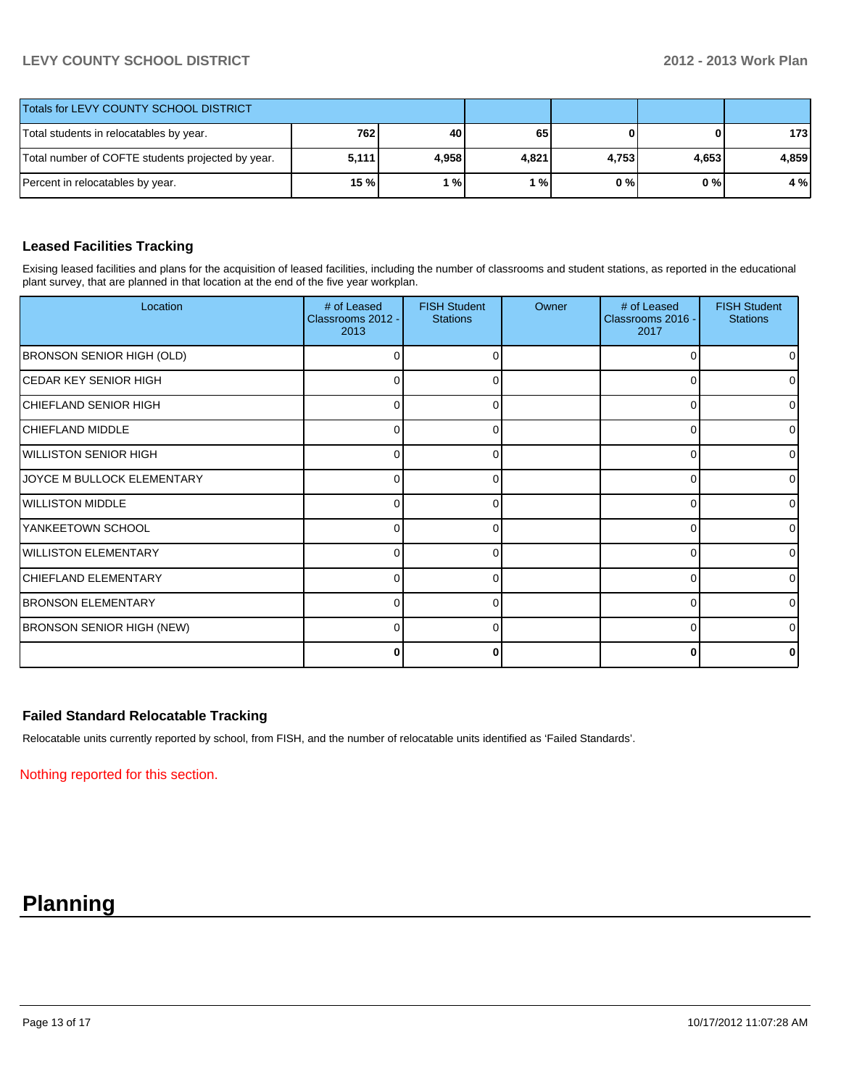# **LEVY COUNTY SCHOOL DISTRICT 2012 - 2013 Work Plan**

| Totals for LEVY COUNTY SCHOOL DISTRICT            |                 |       |                           |       |       |       |
|---------------------------------------------------|-----------------|-------|---------------------------|-------|-------|-------|
| Total students in relocatables by year.           | 762             | 40    | 65                        |       | 0     | 173   |
| Total number of COFTE students projected by year. | 5,111           | 4.958 | 4,821                     | 4,753 | 4,653 | 4.859 |
| Percent in relocatables by year.                  | 15 <sub>%</sub> | %     | $^{\prime}$ % $^{\prime}$ | 0 % I | 0 % I | 4 %   |

### **Leased Facilities Tracking**

Exising leased facilities and plans for the acquisition of leased facilities, including the number of classrooms and student stations, as reported in the educational plant survey, that are planned in that location at the end of the five year workplan.

| Location                         | # of Leased<br>Classrooms 2012 -<br>2013 | <b>FISH Student</b><br><b>Stations</b> | Owner | # of Leased<br>Classrooms 2016 -<br>2017 | <b>FISH Student</b><br><b>Stations</b> |
|----------------------------------|------------------------------------------|----------------------------------------|-------|------------------------------------------|----------------------------------------|
| <b>BRONSON SENIOR HIGH (OLD)</b> | 0                                        |                                        |       | 0                                        |                                        |
| <b>CEDAR KEY SENIOR HIGH</b>     | $\Omega$                                 | ∩                                      |       | 0                                        | <sup>0</sup>                           |
| <b>CHIEFLAND SENIOR HIGH</b>     | 0                                        | 0                                      |       | $\Omega$                                 | <sup>0</sup>                           |
| <b>CHIEFLAND MIDDLE</b>          | $\Omega$                                 | ∩                                      |       | $\Omega$                                 | <sup>0</sup>                           |
| <b>WILLISTON SENIOR HIGH</b>     | 0                                        |                                        |       | 0                                        | o                                      |
| JOYCE M BULLOCK ELEMENTARY       | $\Omega$                                 | n                                      |       | $\Omega$                                 | ∩                                      |
| <b>WILLISTON MIDDLE</b>          | 0                                        |                                        |       | $\Omega$                                 |                                        |
| YANKEETOWN SCHOOL                | $\Omega$                                 |                                        |       | $\Omega$                                 | ∩                                      |
| <b>WILLISTON ELEMENTARY</b>      | 0                                        |                                        |       | $\Omega$                                 |                                        |
| <b>CHIEFLAND ELEMENTARY</b>      | $\Omega$                                 |                                        |       | $\Omega$                                 | ∩                                      |
| <b>BRONSON ELEMENTARY</b>        | 0                                        |                                        |       | $\Omega$                                 |                                        |
| <b>BRONSON SENIOR HIGH (NEW)</b> | $\Omega$                                 | U                                      |       | $\Omega$                                 |                                        |
|                                  | 0                                        |                                        |       | $\bf{0}$                                 |                                        |

# **Failed Standard Relocatable Tracking**

Relocatable units currently reported by school, from FISH, and the number of relocatable units identified as 'Failed Standards'.

Nothing reported for this section.

# **Planning**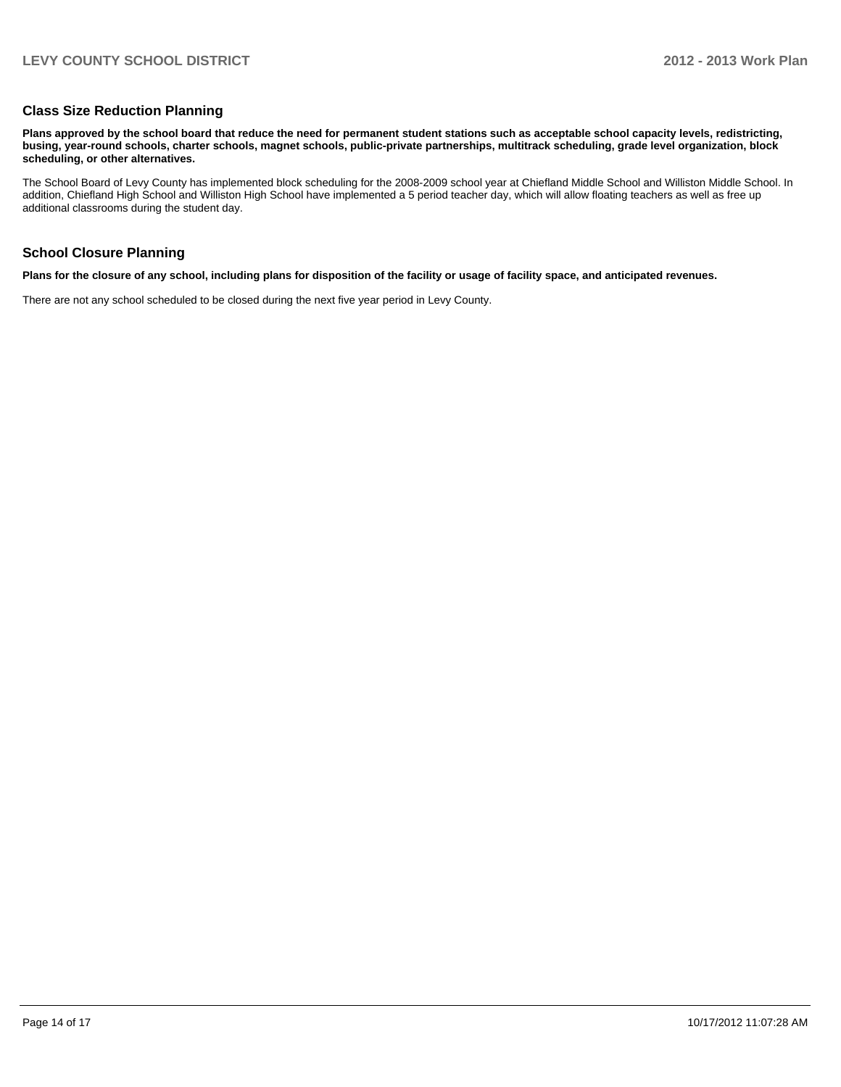#### **Class Size Reduction Planning**

**Plans approved by the school board that reduce the need for permanent student stations such as acceptable school capacity levels, redistricting, busing, year-round schools, charter schools, magnet schools, public-private partnerships, multitrack scheduling, grade level organization, block scheduling, or other alternatives.**

The School Board of Levy County has implemented block scheduling for the 2008-2009 school year at Chiefland Middle School and Williston Middle School. In addition, Chiefland High School and Williston High School have implemented a 5 period teacher day, which will allow floating teachers as well as free up additional classrooms during the student day.

#### **School Closure Planning**

**Plans for the closure of any school, including plans for disposition of the facility or usage of facility space, and anticipated revenues.**

There are not any school scheduled to be closed during the next five year period in Levy County.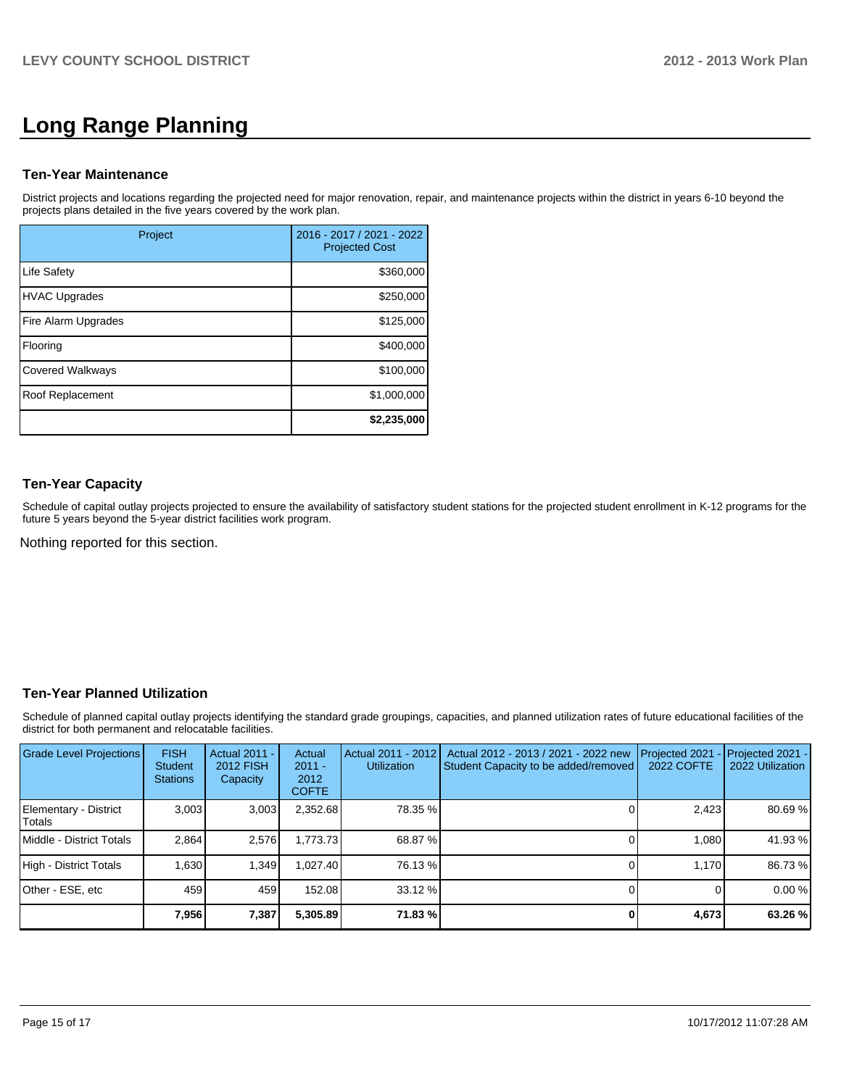# **Long Range Planning**

#### **Ten-Year Maintenance**

District projects and locations regarding the projected need for major renovation, repair, and maintenance projects within the district in years 6-10 beyond the projects plans detailed in the five years covered by the work plan.

| Project                 | 2016 - 2017 / 2021 - 2022<br><b>Projected Cost</b> |
|-------------------------|----------------------------------------------------|
| <b>Life Safety</b>      | \$360,000                                          |
| <b>HVAC Upgrades</b>    | \$250,000                                          |
| Fire Alarm Upgrades     | \$125,000                                          |
| Flooring                | \$400,000                                          |
| <b>Covered Walkways</b> | \$100,000                                          |
| Roof Replacement        | \$1,000,000                                        |
|                         | \$2,235,000                                        |

# **Ten-Year Capacity**

Schedule of capital outlay projects projected to ensure the availability of satisfactory student stations for the projected student enrollment in K-12 programs for the future 5 years beyond the 5-year district facilities work program.

Nothing reported for this section.

# **Ten-Year Planned Utilization**

Schedule of planned capital outlay projects identifying the standard grade groupings, capacities, and planned utilization rates of future educational facilities of the district for both permanent and relocatable facilities.

| Grade Level Projections         | <b>FISH</b><br><b>Student</b><br><b>Stations</b> | Actual 2011 -<br>2012 FISH<br>Capacity | Actual<br>$2011 -$<br>2012<br><b>COFTE</b> | Actual 2011 - 2012<br><b>Utilization</b> | Actual 2012 - 2013 / 2021 - 2022 new<br>Student Capacity to be added/removed | Projected 2021<br>2022 COFTE | Projected 2021 -<br>2022 Utilization |
|---------------------------------|--------------------------------------------------|----------------------------------------|--------------------------------------------|------------------------------------------|------------------------------------------------------------------------------|------------------------------|--------------------------------------|
| Elementary - District<br>Totals | 3.003                                            | 3,003                                  | 2,352.68                                   | 78.35 %                                  |                                                                              | 2,423                        | 80.69%                               |
| Middle - District Totals        | 2.864                                            | 2,576                                  | 1,773.73                                   | 68.87 %                                  |                                                                              | 1.080                        | 41.93 %                              |
| High - District Totals          | 1.630                                            | 1.349                                  | .027.40                                    | 76.13 %                                  |                                                                              | 1.170                        | 86.73 %                              |
| Other - ESE, etc                | 459                                              | 459                                    | 152.08                                     | $33.12\%$                                |                                                                              |                              | 0.00%                                |
|                                 | 7,956                                            | 7,387                                  | 5,305.89                                   | 71.83 %                                  |                                                                              | 4,673                        | 63.26 %                              |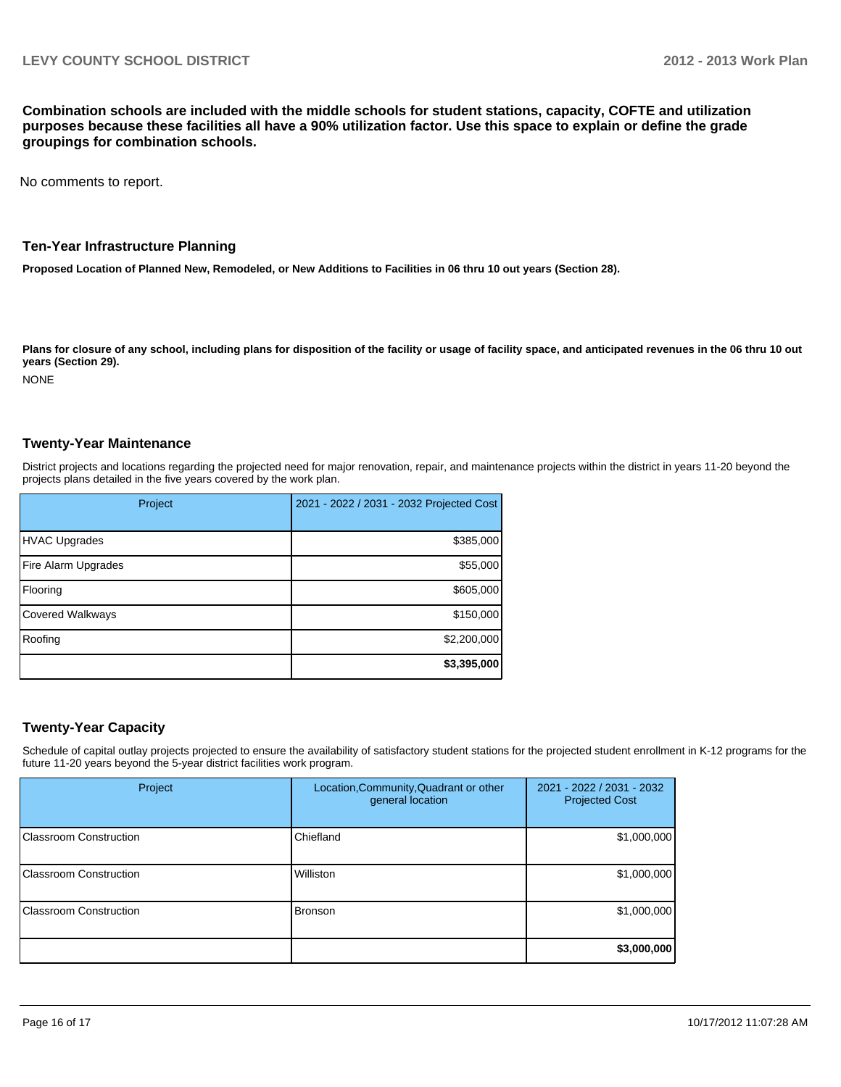**Combination schools are included with the middle schools for student stations, capacity, COFTE and utilization purposes because these facilities all have a 90% utilization factor. Use this space to explain or define the grade groupings for combination schools.**

No comments to report.

#### **Ten-Year Infrastructure Planning**

**Proposed Location of Planned New, Remodeled, or New Additions to Facilities in 06 thru 10 out years (Section 28).**

Plans for closure of any school, including plans for disposition of the facility or usage of facility space, and anticipated revenues in the 06 thru 10 out **years (Section 29).**

NONE

#### **Twenty-Year Maintenance**

District projects and locations regarding the projected need for major renovation, repair, and maintenance projects within the district in years 11-20 beyond the projects plans detailed in the five years covered by the work plan.

| Project                 | 2021 - 2022 / 2031 - 2032 Projected Cost |
|-------------------------|------------------------------------------|
| <b>HVAC Upgrades</b>    | \$385,000                                |
| Fire Alarm Upgrades     | \$55,000                                 |
| Flooring                | \$605,000                                |
| <b>Covered Walkways</b> | \$150,000                                |
| Roofing                 | \$2,200,000                              |
|                         | \$3,395,000                              |

#### **Twenty-Year Capacity**

Schedule of capital outlay projects projected to ensure the availability of satisfactory student stations for the projected student enrollment in K-12 programs for the future 11-20 years beyond the 5-year district facilities work program.

| Project                        | Location, Community, Quadrant or other<br>general location | 2021 - 2022 / 2031 - 2032<br><b>Projected Cost</b> |
|--------------------------------|------------------------------------------------------------|----------------------------------------------------|
| <b>IClassroom Construction</b> | Chiefland                                                  | \$1,000,000                                        |
| Classroom Construction         | Williston                                                  | \$1,000,000                                        |
| <b>IClassroom Construction</b> | <b>Bronson</b>                                             | \$1,000,000                                        |
|                                |                                                            | \$3,000,000                                        |